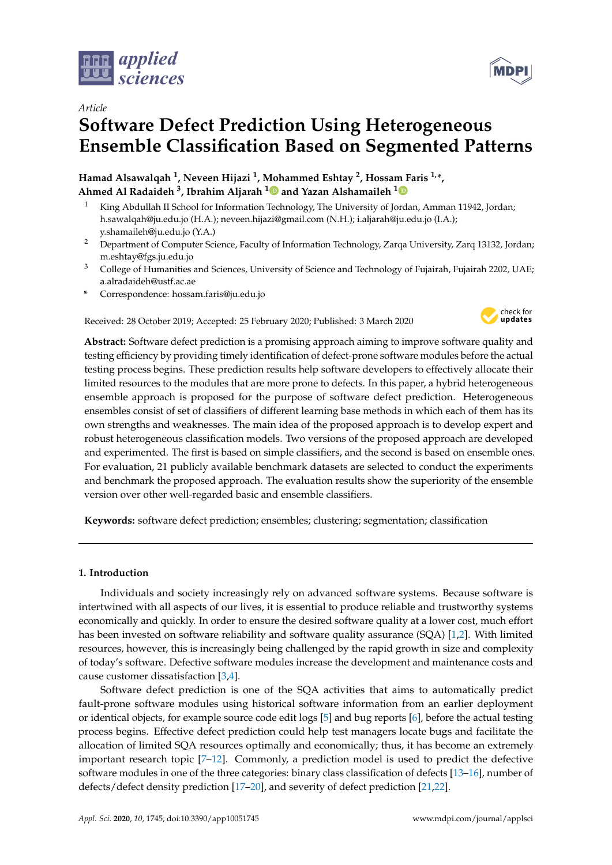

*Article*

# **Software Defect Prediction Using Heterogeneous Ensemble Classification Based on Segmented Patterns**

**Hamad Alsawalqah <sup>1</sup> , Neveen Hijazi <sup>1</sup> , Mohammed Eshtay <sup>2</sup> , Hossam Faris 1,\*, Ahmed Al Radaideh <sup>3</sup> , Ibrahim Aljarah <sup>1</sup> and Yazan Alshamaileh <sup>1</sup>**

- King Abdullah II School for Information Technology, The University of Jordan, Amman 11942, Jordan; h.sawalqah@ju.edu.jo (H.A.); neveen.hijazi@gmail.com (N.H.); i.aljarah@ju.edu.jo (I.A.); y.shamaileh@ju.edu.jo (Y.A.)
- <sup>2</sup> Department of Computer Science, Faculty of Information Technology, Zarqa University, Zarq 13132, Jordan; m.eshtay@fgs.ju.edu.jo
- <sup>3</sup> College of Humanities and Sciences, University of Science and Technology of Fujairah, Fujairah 2202, UAE; a.alradaideh@ustf.ac.ae
- **\*** Correspondence: hossam.faris@ju.edu.jo

Received: 28 October 2019; Accepted: 25 February 2020; Published: 3 March 2020



**Abstract:** Software defect prediction is a promising approach aiming to improve software quality and testing efficiency by providing timely identification of defect-prone software modules before the actual testing process begins. These prediction results help software developers to effectively allocate their limited resources to the modules that are more prone to defects. In this paper, a hybrid heterogeneous ensemble approach is proposed for the purpose of software defect prediction. Heterogeneous ensembles consist of set of classifiers of different learning base methods in which each of them has its own strengths and weaknesses. The main idea of the proposed approach is to develop expert and robust heterogeneous classification models. Two versions of the proposed approach are developed and experimented. The first is based on simple classifiers, and the second is based on ensemble ones. For evaluation, 21 publicly available benchmark datasets are selected to conduct the experiments and benchmark the proposed approach. The evaluation results show the superiority of the ensemble version over other well-regarded basic and ensemble classifiers.

**Keywords:** software defect prediction; ensembles; clustering; segmentation; classification

# **1. Introduction**

Individuals and society increasingly rely on advanced software systems. Because software is intertwined with all aspects of our lives, it is essential to produce reliable and trustworthy systems economically and quickly. In order to ensure the desired software quality at a lower cost, much effort has been invested on software reliability and software quality assurance (SQA) [1,2]. With limited resources, however, this is increasingly being challenged by the rapid growth in size and complexity of today's software. Defective software modules increase the development and maintenance costs and cause customer dissatisfaction [3,4].

Software defect prediction is one of the SQA activities that aims to automatically predict fault-prone software modules using historical software information from an earlier deployment or identical objects, for example source code edit logs [5] and bug reports [6], before the actual testing process begins. Effective defect prediction could help test managers locate bugs and facilitate the allocation of limited SQA resources optimally and economically; thus, it has become an extremely important research topic [7–12]. Commonly, a prediction model is used to predict the defective software modules in one of the three categories: binary class classification of defects [13–16], number of defects/defect density prediction [17–20], and severity of defect prediction [21,22].

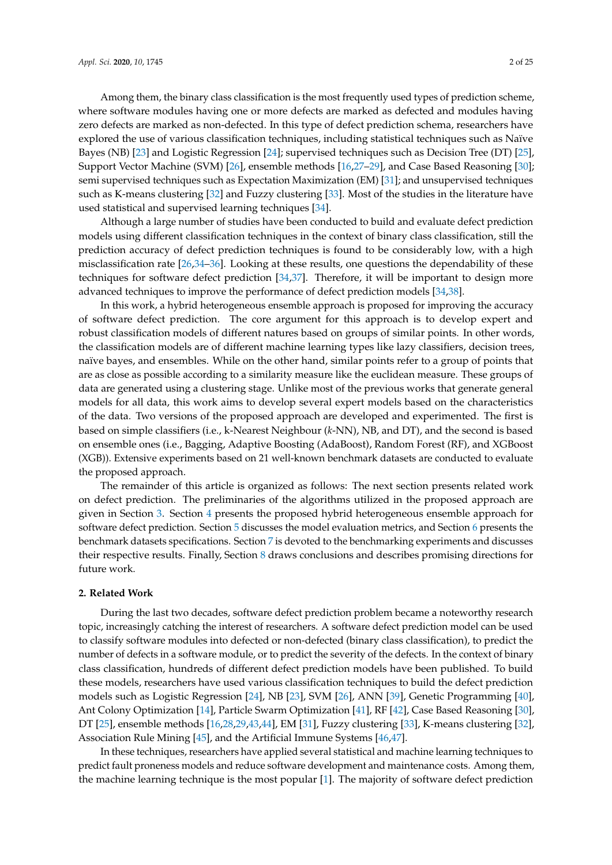Among them, the binary class classification is the most frequently used types of prediction scheme, where software modules having one or more defects are marked as defected and modules having zero defects are marked as non-defected. In this type of defect prediction schema, researchers have explored the use of various classification techniques, including statistical techniques such as Naïve Bayes (NB) [23] and Logistic Regression [24]; supervised techniques such as Decision Tree (DT) [25], Support Vector Machine (SVM) [26], ensemble methods [16,27–29], and Case Based Reasoning [30]; semi supervised techniques such as Expectation Maximization (EM) [31]; and unsupervised techniques such as K-means clustering [32] and Fuzzy clustering [33]. Most of the studies in the literature have used statistical and supervised learning techniques [34].

Although a large number of studies have been conducted to build and evaluate defect prediction models using different classification techniques in the context of binary class classification, still the prediction accuracy of defect prediction techniques is found to be considerably low, with a high misclassification rate [26,34–36]. Looking at these results, one questions the dependability of these techniques for software defect prediction [34,37]. Therefore, it will be important to design more advanced techniques to improve the performance of defect prediction models [34,38].

In this work, a hybrid heterogeneous ensemble approach is proposed for improving the accuracy of software defect prediction. The core argument for this approach is to develop expert and robust classification models of different natures based on groups of similar points. In other words, the classification models are of different machine learning types like lazy classifiers, decision trees, naïve bayes, and ensembles. While on the other hand, similar points refer to a group of points that are as close as possible according to a similarity measure like the euclidean measure. These groups of data are generated using a clustering stage. Unlike most of the previous works that generate general models for all data, this work aims to develop several expert models based on the characteristics of the data. Two versions of the proposed approach are developed and experimented. The first is based on simple classifiers (i.e., k-Nearest Neighbour (*k*-NN), NB, and DT), and the second is based on ensemble ones (i.e., Bagging, Adaptive Boosting (AdaBoost), Random Forest (RF), and XGBoost (XGB)). Extensive experiments based on 21 well-known benchmark datasets are conducted to evaluate the proposed approach.

The remainder of this article is organized as follows: The next section presents related work on defect prediction. The preliminaries of the algorithms utilized in the proposed approach are given in Section 3. Section 4 presents the proposed hybrid heterogeneous ensemble approach for software defect prediction. Section 5 discusses the model evaluation metrics, and Section 6 presents the benchmark datasets specifications. Section 7 is devoted to the benchmarking experiments and discusses their respective results. Finally, Section 8 draws conclusions and describes promising directions for future work.

## **2. Related Work**

During the last two decades, software defect prediction problem became a noteworthy research topic, increasingly catching the interest of researchers. A software defect prediction model can be used to classify software modules into defected or non-defected (binary class classification), to predict the number of defects in a software module, or to predict the severity of the defects. In the context of binary class classification, hundreds of different defect prediction models have been published. To build these models, researchers have used various classification techniques to build the defect prediction models such as Logistic Regression [24], NB [23], SVM [26], ANN [39], Genetic Programming [40], Ant Colony Optimization [14], Particle Swarm Optimization [41], RF [42], Case Based Reasoning [30], DT [25], ensemble methods [16,28,29,43,44], EM [31], Fuzzy clustering [33], K-means clustering [32], Association Rule Mining [45], and the Artificial Immune Systems [46,47].

In these techniques, researchers have applied several statistical and machine learning techniques to predict fault proneness models and reduce software development and maintenance costs. Among them, the machine learning technique is the most popular [1]. The majority of software defect prediction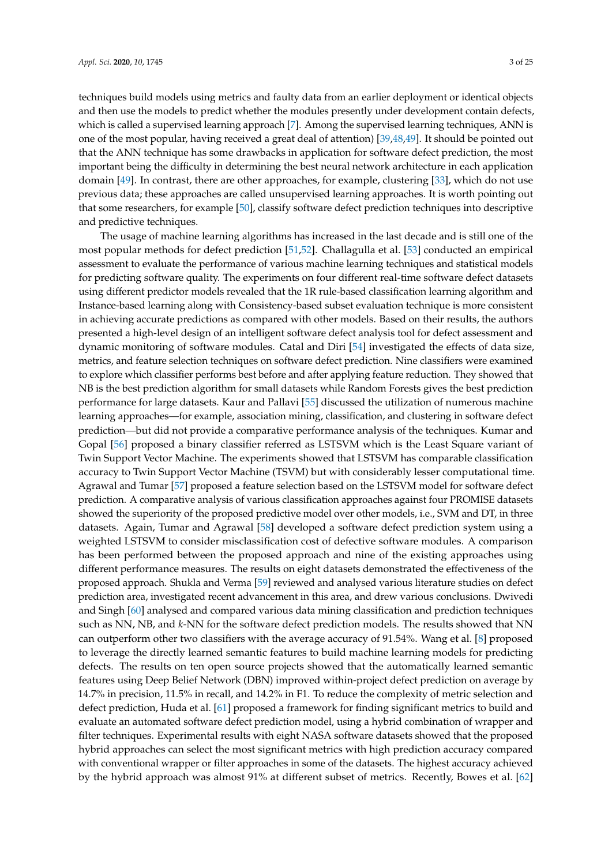techniques build models using metrics and faulty data from an earlier deployment or identical objects and then use the models to predict whether the modules presently under development contain defects, which is called a supervised learning approach [7]. Among the supervised learning techniques, ANN is one of the most popular, having received a great deal of attention) [39,48,49]. It should be pointed out that the ANN technique has some drawbacks in application for software defect prediction, the most important being the difficulty in determining the best neural network architecture in each application domain [49]. In contrast, there are other approaches, for example, clustering [33], which do not use previous data; these approaches are called unsupervised learning approaches. It is worth pointing out that some researchers, for example [50], classify software defect prediction techniques into descriptive and predictive techniques.

The usage of machine learning algorithms has increased in the last decade and is still one of the most popular methods for defect prediction [51,52]. Challagulla et al. [53] conducted an empirical assessment to evaluate the performance of various machine learning techniques and statistical models for predicting software quality. The experiments on four different real-time software defect datasets using different predictor models revealed that the 1R rule-based classification learning algorithm and Instance-based learning along with Consistency-based subset evaluation technique is more consistent in achieving accurate predictions as compared with other models. Based on their results, the authors presented a high-level design of an intelligent software defect analysis tool for defect assessment and dynamic monitoring of software modules. Catal and Diri [54] investigated the effects of data size, metrics, and feature selection techniques on software defect prediction. Nine classifiers were examined to explore which classifier performs best before and after applying feature reduction. They showed that NB is the best prediction algorithm for small datasets while Random Forests gives the best prediction performance for large datasets. Kaur and Pallavi [55] discussed the utilization of numerous machine learning approaches—for example, association mining, classification, and clustering in software defect prediction—but did not provide a comparative performance analysis of the techniques. Kumar and Gopal [56] proposed a binary classifier referred as LSTSVM which is the Least Square variant of Twin Support Vector Machine. The experiments showed that LSTSVM has comparable classification accuracy to Twin Support Vector Machine (TSVM) but with considerably lesser computational time. Agrawal and Tumar [57] proposed a feature selection based on the LSTSVM model for software defect prediction. A comparative analysis of various classification approaches against four PROMISE datasets showed the superiority of the proposed predictive model over other models, i.e., SVM and DT, in three datasets. Again, Tumar and Agrawal [58] developed a software defect prediction system using a weighted LSTSVM to consider misclassification cost of defective software modules. A comparison has been performed between the proposed approach and nine of the existing approaches using different performance measures. The results on eight datasets demonstrated the effectiveness of the proposed approach. Shukla and Verma [59] reviewed and analysed various literature studies on defect prediction area, investigated recent advancement in this area, and drew various conclusions. Dwivedi and Singh [60] analysed and compared various data mining classification and prediction techniques such as NN, NB, and *k*-NN for the software defect prediction models. The results showed that NN can outperform other two classifiers with the average accuracy of 91.54%. Wang et al. [8] proposed to leverage the directly learned semantic features to build machine learning models for predicting defects. The results on ten open source projects showed that the automatically learned semantic features using Deep Belief Network (DBN) improved within-project defect prediction on average by 14.7% in precision, 11.5% in recall, and 14.2% in F1. To reduce the complexity of metric selection and defect prediction, Huda et al. [61] proposed a framework for finding significant metrics to build and evaluate an automated software defect prediction model, using a hybrid combination of wrapper and filter techniques. Experimental results with eight NASA software datasets showed that the proposed hybrid approaches can select the most significant metrics with high prediction accuracy compared with conventional wrapper or filter approaches in some of the datasets. The highest accuracy achieved by the hybrid approach was almost 91% at different subset of metrics. Recently, Bowes et al. [62]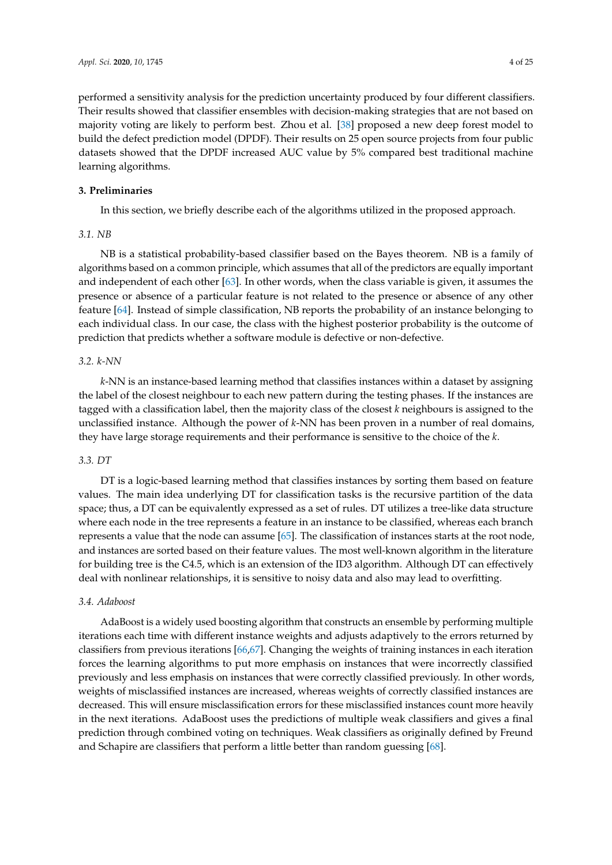performed a sensitivity analysis for the prediction uncertainty produced by four different classifiers. Their results showed that classifier ensembles with decision-making strategies that are not based on majority voting are likely to perform best. Zhou et al. [38] proposed a new deep forest model to build the defect prediction model (DPDF). Their results on 25 open source projects from four public datasets showed that the DPDF increased AUC value by 5% compared best traditional machine learning algorithms.

## **3. Preliminaries**

In this section, we briefly describe each of the algorithms utilized in the proposed approach.

## *3.1. NB*

NB is a statistical probability-based classifier based on the Bayes theorem. NB is a family of algorithms based on a common principle, which assumes that all of the predictors are equally important and independent of each other [63]. In other words, when the class variable is given, it assumes the presence or absence of a particular feature is not related to the presence or absence of any other feature [64]. Instead of simple classification, NB reports the probability of an instance belonging to each individual class. In our case, the class with the highest posterior probability is the outcome of prediction that predicts whether a software module is defective or non-defective.

## *3.2. k-NN*

*k*-NN is an instance-based learning method that classifies instances within a dataset by assigning the label of the closest neighbour to each new pattern during the testing phases. If the instances are tagged with a classification label, then the majority class of the closest *k* neighbours is assigned to the unclassified instance. Although the power of *k*-NN has been proven in a number of real domains, they have large storage requirements and their performance is sensitive to the choice of the *k*.

## *3.3. DT*

DT is a logic-based learning method that classifies instances by sorting them based on feature values. The main idea underlying DT for classification tasks is the recursive partition of the data space; thus, a DT can be equivalently expressed as a set of rules. DT utilizes a tree-like data structure where each node in the tree represents a feature in an instance to be classified, whereas each branch represents a value that the node can assume [65]. The classification of instances starts at the root node, and instances are sorted based on their feature values. The most well-known algorithm in the literature for building tree is the C4.5, which is an extension of the ID3 algorithm. Although DT can effectively deal with nonlinear relationships, it is sensitive to noisy data and also may lead to overfitting.

## *3.4. Adaboost*

AdaBoost is a widely used boosting algorithm that constructs an ensemble by performing multiple iterations each time with different instance weights and adjusts adaptively to the errors returned by classifiers from previous iterations [66,67]. Changing the weights of training instances in each iteration forces the learning algorithms to put more emphasis on instances that were incorrectly classified previously and less emphasis on instances that were correctly classified previously. In other words, weights of misclassified instances are increased, whereas weights of correctly classified instances are decreased. This will ensure misclassification errors for these misclassified instances count more heavily in the next iterations. AdaBoost uses the predictions of multiple weak classifiers and gives a final prediction through combined voting on techniques. Weak classifiers as originally defined by Freund and Schapire are classifiers that perform a little better than random guessing [68].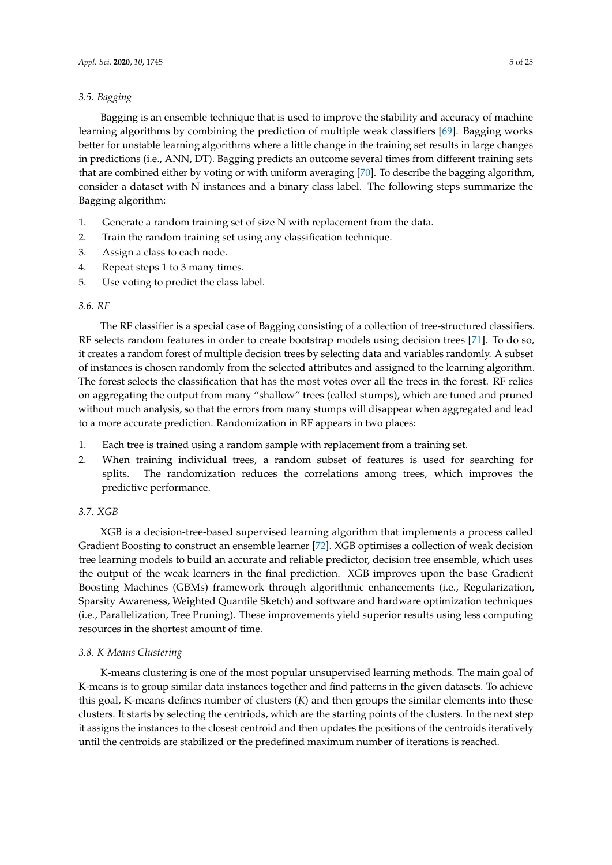## *3.5. Bagging*

Bagging is an ensemble technique that is used to improve the stability and accuracy of machine learning algorithms by combining the prediction of multiple weak classifiers [69]. Bagging works better for unstable learning algorithms where a little change in the training set results in large changes in predictions (i.e., ANN, DT). Bagging predicts an outcome several times from different training sets that are combined either by voting or with uniform averaging [70]. To describe the bagging algorithm, consider a dataset with N instances and a binary class label. The following steps summarize the Bagging algorithm:

- 1. Generate a random training set of size N with replacement from the data.
- 2. Train the random training set using any classification technique.
- 3. Assign a class to each node.
- 4. Repeat steps 1 to 3 many times.
- 5. Use voting to predict the class label.

# *3.6. RF*

The RF classifier is a special case of Bagging consisting of a collection of tree-structured classifiers. RF selects random features in order to create bootstrap models using decision trees [71]. To do so, it creates a random forest of multiple decision trees by selecting data and variables randomly. A subset of instances is chosen randomly from the selected attributes and assigned to the learning algorithm. The forest selects the classification that has the most votes over all the trees in the forest. RF relies on aggregating the output from many "shallow" trees (called stumps), which are tuned and pruned without much analysis, so that the errors from many stumps will disappear when aggregated and lead to a more accurate prediction. Randomization in RF appears in two places:

- 1. Each tree is trained using a random sample with replacement from a training set.
- 2. When training individual trees, a random subset of features is used for searching for splits. The randomization reduces the correlations among trees, which improves the predictive performance.

# *3.7. XGB*

XGB is a decision-tree-based supervised learning algorithm that implements a process called Gradient Boosting to construct an ensemble learner [72]. XGB optimises a collection of weak decision tree learning models to build an accurate and reliable predictor, decision tree ensemble, which uses the output of the weak learners in the final prediction. XGB improves upon the base Gradient Boosting Machines (GBMs) framework through algorithmic enhancements (i.e., Regularization, Sparsity Awareness, Weighted Quantile Sketch) and software and hardware optimization techniques (i.e., Parallelization, Tree Pruning). These improvements yield superior results using less computing resources in the shortest amount of time.

# *3.8. K-Means Clustering*

K-means clustering is one of the most popular unsupervised learning methods. The main goal of K-means is to group similar data instances together and find patterns in the given datasets. To achieve this goal, K-means defines number of clusters (*K*) and then groups the similar elements into these clusters. It starts by selecting the centriods, which are the starting points of the clusters. In the next step it assigns the instances to the closest centroid and then updates the positions of the centroids iteratively until the centroids are stabilized or the predefined maximum number of iterations is reached.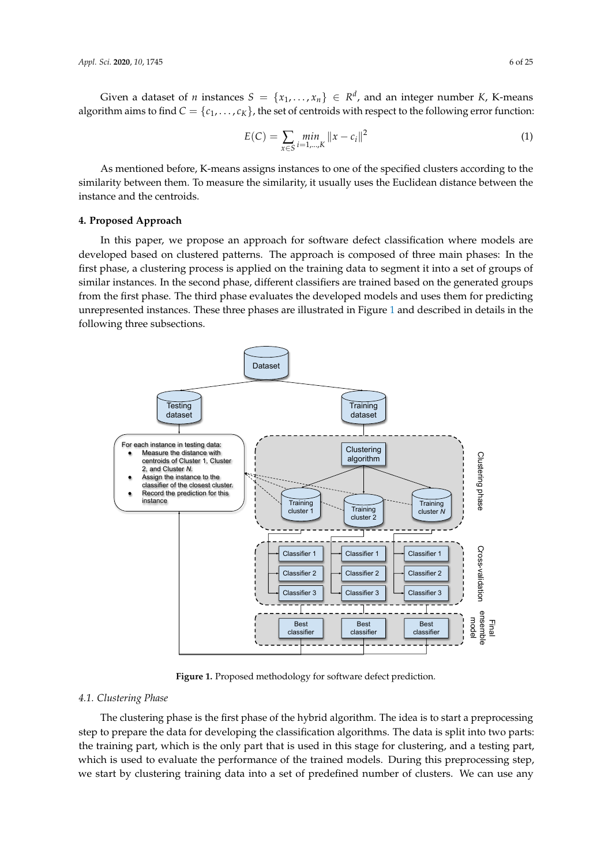Given a dataset of *n* instances  $S = \{x_1, \ldots, x_n\} \in \mathbb{R}^d$ , and an integer number *K*, K-means algorithm aims to find  $C = \{c_1, \ldots, c_K\}$ , the set of centroids with respect to the following error function:

$$
E(C) = \sum_{x \in S} \min_{i=1,\dots,K} ||x - c_i||^2
$$
 (1)

As mentioned before, K-means assigns instances to one of the specified clusters according to the similarity between them. To measure the similarity, it usually uses the Euclidean distance between the instance and the centroids.

## **4. Proposed Approach**

In this paper, we propose an approach for software defect classification where models are developed based on clustered patterns. The approach is composed of three main phases: In the first phase, a clustering process is applied on the training data to segment it into a set of groups of similar instances. In the second phase, different classifiers are trained based on the generated groups from the first phase. The third phase evaluates the developed models and uses them for predicting unrepresented instances. These three phases are illustrated in Figure 1 and described in details in the following three subsections.



**Figure 1.** Proposed methodology for software defect prediction.

#### *4.1. Clustering Phase*

The clustering phase is the first phase of the hybrid algorithm. The idea is to start a preprocessing step to prepare the data for developing the classification algorithms. The data is split into two parts: the training part, which is the only part that is used in this stage for clustering, and a testing part, which is used to evaluate the performance of the trained models. During this preprocessing step, we start by clustering training data into a set of predefined number of clusters. We can use any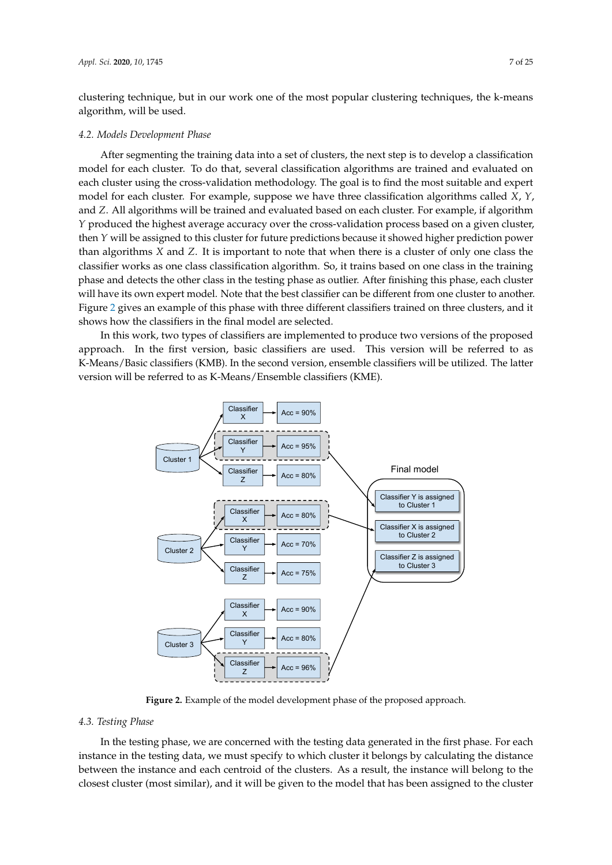clustering technique, but in our work one of the most popular clustering techniques, the k-means algorithm, will be used.

#### *4.2. Models Development Phase*

After segmenting the training data into a set of clusters, the next step is to develop a classification model for each cluster. To do that, several classification algorithms are trained and evaluated on each cluster using the cross-validation methodology. The goal is to find the most suitable and expert model for each cluster. For example, suppose we have three classification algorithms called *X*, *Y*, and *Z*. All algorithms will be trained and evaluated based on each cluster. For example, if algorithm *Y* produced the highest average accuracy over the cross-validation process based on a given cluster, then *Y* will be assigned to this cluster for future predictions because it showed higher prediction power than algorithms *X* and *Z*. It is important to note that when there is a cluster of only one class the classifier works as one class classification algorithm. So, it trains based on one class in the training phase and detects the other class in the testing phase as outlier. After finishing this phase, each cluster will have its own expert model. Note that the best classifier can be different from one cluster to another. Figure 2 gives an example of this phase with three different classifiers trained on three clusters, and it shows how the classifiers in the final model are selected.

In this work, two types of classifiers are implemented to produce two versions of the proposed approach. In the first version, basic classifiers are used. This version will be referred to as K-Means/Basic classifiers (KMB). In the second version, ensemble classifiers will be utilized. The latter version will be referred to as K-Means/Ensemble classifiers (KME).



**Figure 2.** Example of the model development phase of the proposed approach.

## *4.3. Testing Phase*

In the testing phase, we are concerned with the testing data generated in the first phase. For each instance in the testing data, we must specify to which cluster it belongs by calculating the distance between the instance and each centroid of the clusters. As a result, the instance will belong to the closest cluster (most similar), and it will be given to the model that has been assigned to the cluster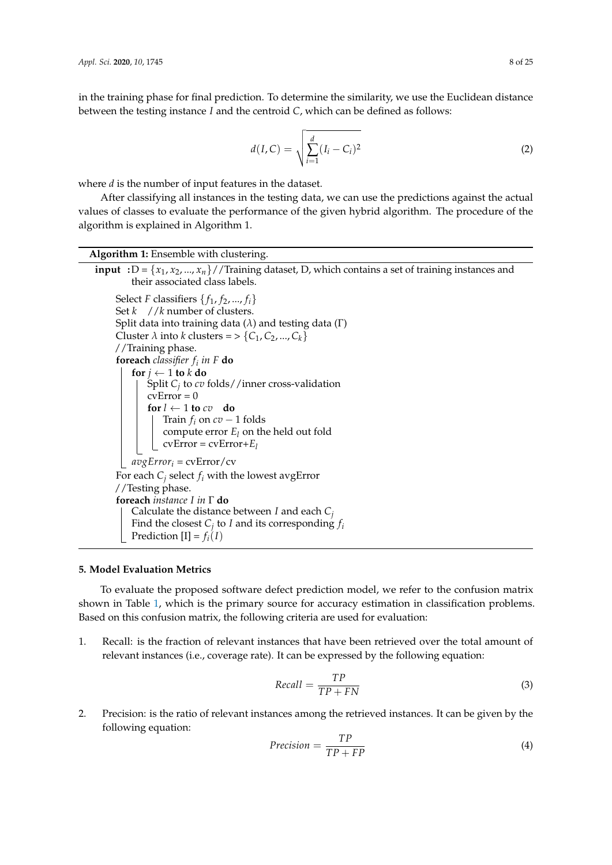in the training phase for final prediction. To determine the similarity, we use the Euclidean distance between the testing instance *I* and the centroid *C*, which can be defined as follows:

$$
d(I, C) = \sqrt{\sum_{i=1}^{d} (I_i - C_i)^2}
$$
 (2)

where *d* is the number of input features in the dataset.

After classifying all instances in the testing data, we can use the predictions against the actual values of classes to evaluate the performance of the given hybrid algorithm. The procedure of the algorithm is explained in Algorithm 1.

| Algorithm 1: Ensemble with clustering.                                                                                                                                                                                                                  |
|---------------------------------------------------------------------------------------------------------------------------------------------------------------------------------------------------------------------------------------------------------|
| <b>input</b> :D = $\{x_1, x_2, , x_n\}$ / Training dataset, D, which contains a set of training instances and<br>their associated class labels.                                                                                                         |
| Select F classifiers $\{f_1, f_2, , f_i\}$<br>Set $k$ //k number of clusters.<br>Split data into training data $(\lambda)$ and testing data ( $\Gamma$ )<br>Cluster $\lambda$ into k clusters = > {C <sub>1</sub> , C <sub>2</sub> , , C <sub>k</sub> } |
| //Training phase.                                                                                                                                                                                                                                       |
| <b>foreach</b> <i>classifier</i> $f_i$ <i>in</i> $F$ <b>do</b>                                                                                                                                                                                          |
| for $j \leftarrow 1$ to k do<br>Split $C_i$ to $cv$ folds//inner cross-validation<br>$cvError = 0$<br>for $l \leftarrow 1$ to $cv$ do<br>Train $f_i$ on $cv-1$ folds<br>compute error $E_l$ on the held out fold<br>$cvError = cvError + E_l$           |
| $avgError_i = \text{cvError}/\text{cv}$                                                                                                                                                                                                                 |
| For each $C_i$ select $f_i$ with the lowest avgError<br>//Testing phase.                                                                                                                                                                                |
| foreach instance I in $\Gamma$ do                                                                                                                                                                                                                       |
| Calculate the distance between $I$ and each $C_i$<br>Find the closest $C_i$ to I and its corresponding $f_i$<br>Prediction $[I] = f_i(I)$                                                                                                               |

## **5. Model Evaluation Metrics**

To evaluate the proposed software defect prediction model, we refer to the confusion matrix shown in Table 1, which is the primary source for accuracy estimation in classification problems. Based on this confusion matrix, the following criteria are used for evaluation:

1. Recall: is the fraction of relevant instances that have been retrieved over the total amount of relevant instances (i.e., coverage rate). It can be expressed by the following equation:

$$
Recall = \frac{TP}{TP + FN}
$$
 (3)

2. Precision: is the ratio of relevant instances among the retrieved instances. It can be given by the following equation:

$$
Precision = \frac{TP}{TP + FP}
$$
\n(4)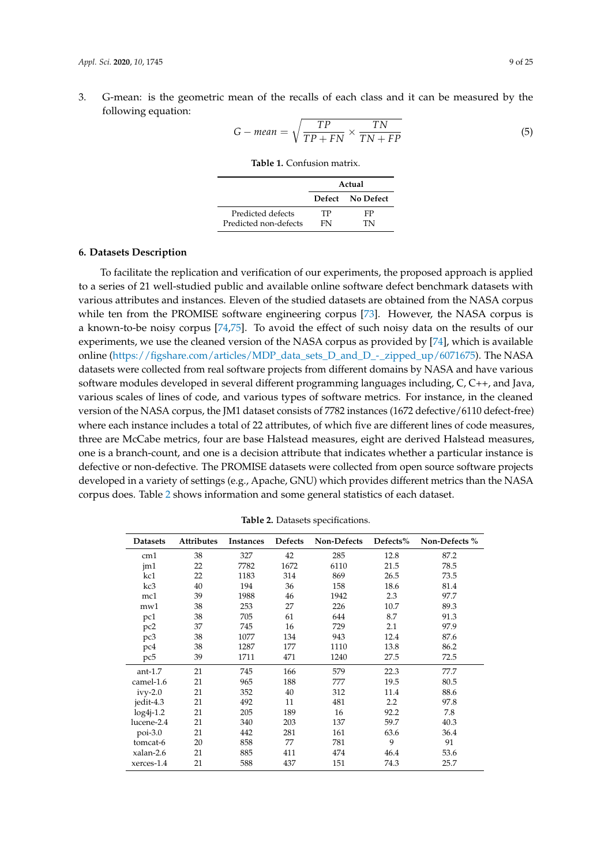3. G-mean: is the geometric mean of the recalls of each class and it can be measured by the following equation:

$$
G-mean = \sqrt{\frac{TP}{TP + FN} \times \frac{TN}{TN + FP}}
$$
 (5)

**Table 1.** Confusion matrix.

|                       | Actual |                  |  |  |  |  |
|-----------------------|--------|------------------|--|--|--|--|
|                       |        | Defect No Defect |  |  |  |  |
| Predicted defects     | TР     | FP               |  |  |  |  |
| Predicted non-defects | FN     | TN               |  |  |  |  |

## **6. Datasets Description**

To facilitate the replication and verification of our experiments, the proposed approach is applied to a series of 21 well-studied public and available online software defect benchmark datasets with various attributes and instances. Eleven of the studied datasets are obtained from the NASA corpus while ten from the PROMISE software engineering corpus [73]. However, the NASA corpus is a known-to-be noisy corpus [74,75]. To avoid the effect of such noisy data on the results of our experiments, we use the cleaned version of the NASA corpus as provided by [74], which is available online (https://figshare.com/articles/MDP\_data\_sets\_D\_and\_D\_-\_zipped\_up/6071675). The NASA datasets were collected from real software projects from different domains by NASA and have various software modules developed in several different programming languages including, C, C++, and Java, various scales of lines of code, and various types of software metrics. For instance, in the cleaned version of the NASA corpus, the JM1 dataset consists of 7782 instances (1672 defective/6110 defect-free) where each instance includes a total of 22 attributes, of which five are different lines of code measures, three are McCabe metrics, four are base Halstead measures, eight are derived Halstead measures, one is a branch-count, and one is a decision attribute that indicates whether a particular instance is defective or non-defective. The PROMISE datasets were collected from open source software projects developed in a variety of settings (e.g., Apache, GNU) which provides different metrics than the NASA corpus does. Table 2 shows information and some general statistics of each dataset.

| <b>Datasets</b> | Attributes | <b>Instances</b> | Defects | Non-Defects | Defects% | Non-Defects % |
|-----------------|------------|------------------|---------|-------------|----------|---------------|
| cm1             | 38         | 327              | 42      | 285         | 12.8     | 87.2          |
| jm1             | 22         | 7782             | 1672    | 6110        | 21.5     | 78.5          |
| kc1             | 22         | 1183             | 314     | 869         | 26.5     | 73.5          |
| kc3             | 40         | 194              | 36      | 158         | 18.6     | 81.4          |
| mc1             | 39         | 1988             | 46      | 1942        | 2.3      | 97.7          |
| mw1             | 38         | 253              | 27      | 226         | 10.7     | 89.3          |
| pc1             | 38         | 705              | 61      | 644         | 8.7      | 91.3          |
| pc <sub>2</sub> | 37         | 745              | 16      | 729         | 2.1      | 97.9          |
| pc3             | 38         | 1077             | 134     | 943         | 12.4     | 87.6          |
| pc4             | 38         | 1287             | 177     | 1110        | 13.8     | 86.2          |
| pc5             | 39         | 1711             | 471     | 1240        | 27.5     | 72.5          |
| $ant-1.7$       | 21         | 745              | 166     | 579         | 22.3     | 77.7          |
| camel-1.6       | 21         | 965              | 188     | 777         | 19.5     | 80.5          |
| $ivy-2.0$       | 21         | 352              | 40      | 312         | 11.4     | 88.6          |
| jedit-4.3       | 21         | 492              | 11      | 481         | 2.2      | 97.8          |
| $log4j-1.2$     | 21         | 205              | 189     | 16          | 92.2     | 7.8           |
| lucene-2.4      | 21         | 340              | 203     | 137         | 59.7     | 40.3          |
| $poi-3.0$       | 21         | 442              | 281     | 161         | 63.6     | 36.4          |
| tomcat-6        | 20         | 858              | 77      | 781         | 9        | 91            |
| xalan-2.6       | 21         | 885              | 411     | 474         | 46.4     | 53.6          |
| xerces-1.4      | 21         | 588              | 437     | 151         | 74.3     | 25.7          |

**Table 2.** Datasets specifications.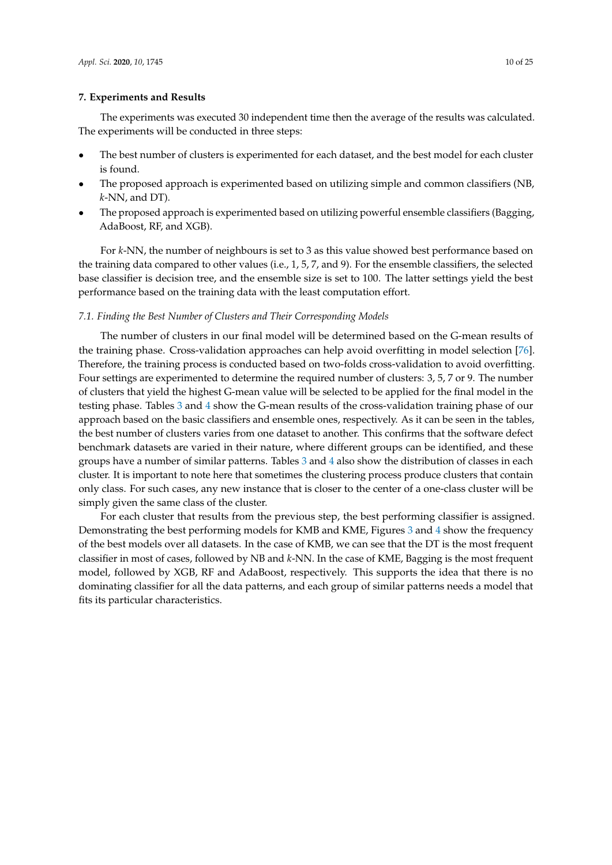## **7. Experiments and Results**

The experiments was executed 30 independent time then the average of the results was calculated. The experiments will be conducted in three steps:

- The best number of clusters is experimented for each dataset, and the best model for each cluster is found.
- The proposed approach is experimented based on utilizing simple and common classifiers (NB, *k*-NN, and DT).
- The proposed approach is experimented based on utilizing powerful ensemble classifiers (Bagging, AdaBoost, RF, and XGB).

For *k*-NN, the number of neighbours is set to 3 as this value showed best performance based on the training data compared to other values (i.e., 1, 5, 7, and 9). For the ensemble classifiers, the selected base classifier is decision tree, and the ensemble size is set to 100. The latter settings yield the best performance based on the training data with the least computation effort.

### *7.1. Finding the Best Number of Clusters and Their Corresponding Models*

The number of clusters in our final model will be determined based on the G-mean results of the training phase. Cross-validation approaches can help avoid overfitting in model selection [76]. Therefore, the training process is conducted based on two-folds cross-validation to avoid overfitting. Four settings are experimented to determine the required number of clusters: 3, 5, 7 or 9. The number of clusters that yield the highest G-mean value will be selected to be applied for the final model in the testing phase. Tables 3 and 4 show the G-mean results of the cross-validation training phase of our approach based on the basic classifiers and ensemble ones, respectively. As it can be seen in the tables, the best number of clusters varies from one dataset to another. This confirms that the software defect benchmark datasets are varied in their nature, where different groups can be identified, and these groups have a number of similar patterns. Tables 3 and 4 also show the distribution of classes in each cluster. It is important to note here that sometimes the clustering process produce clusters that contain only class. For such cases, any new instance that is closer to the center of a one-class cluster will be simply given the same class of the cluster.

For each cluster that results from the previous step, the best performing classifier is assigned. Demonstrating the best performing models for KMB and KME, Figures 3 and 4 show the frequency of the best models over all datasets. In the case of KMB, we can see that the DT is the most frequent classifier in most of cases, followed by NB and *k*-NN. In the case of KME, Bagging is the most frequent model, followed by XGB, RF and AdaBoost, respectively. This supports the idea that there is no dominating classifier for all the data patterns, and each group of similar patterns needs a model that fits its particular characteristics.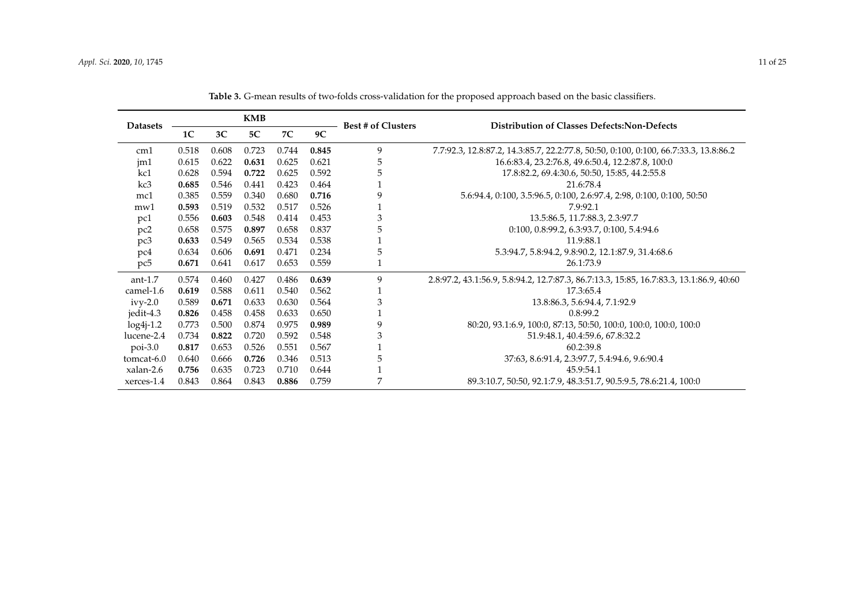| <b>KMB</b><br><b>Datasets</b> |                |                |       |       |       | <b>Best # of Clusters</b> | <b>Distribution of Classes Defects: Non-Defects</b>                                     |
|-------------------------------|----------------|----------------|-------|-------|-------|---------------------------|-----------------------------------------------------------------------------------------|
|                               | 1 <sup>C</sup> | 3 <sup>C</sup> | 5C    | 7C    | 9C    |                           |                                                                                         |
| cm1                           | 0.518          | 0.608          | 0.723 | 0.744 | 0.845 | 9                         | 7.7:92.3, 12.8:87.2, 14.3:85.7, 22.2:77.8, 50:50, 0:100, 0:100, 66.7:33.3, 13.8:86.2    |
| jm1                           | 0.615          | 0.622          | 0.631 | 0.625 | 0.621 | 5                         | 16.6:83.4, 23.2:76.8, 49.6:50.4, 12.2:87.8, 100:0                                       |
| kc1                           | 0.628          | 0.594          | 0.722 | 0.625 | 0.592 | 5                         | 17.8:82.2, 69.4:30.6, 50:50, 15:85, 44.2:55.8                                           |
| kc3                           | 0.685          | 0.546          | 0.441 | 0.423 | 0.464 |                           | 21.6:78.4                                                                               |
| mc1                           | 0.385          | 0.559          | 0.340 | 0.680 | 0.716 | 9                         | 5.6:94.4, 0:100, 3.5:96.5, 0:100, 2.6:97.4, 2:98, 0:100, 0:100, 50:50                   |
| mw1                           | 0.593          | 0.519          | 0.532 | 0.517 | 0.526 |                           | 7.9:92.1                                                                                |
| pc1                           | 0.556          | 0.603          | 0.548 | 0.414 | 0.453 | 3                         | 13.5:86.5, 11.7:88.3, 2.3:97.7                                                          |
| pc2                           | 0.658          | 0.575          | 0.897 | 0.658 | 0.837 | 5                         | 0:100, 0.8:99.2, 6.3:93.7, 0:100, 5.4:94.6                                              |
| pc3                           | 0.633          | 0.549          | 0.565 | 0.534 | 0.538 |                           | 11.9:88.1                                                                               |
| pc4                           | 0.634          | 0.606          | 0.691 | 0.471 | 0.234 | 5                         | 5.3:94.7, 5.8:94.2, 9.8:90.2, 12.1:87.9, 31.4:68.6                                      |
| pc5                           | 0.671          | 0.641          | 0.617 | 0.653 | 0.559 |                           | 26.1:73.9                                                                               |
| $ant-1.7$                     | 0.574          | 0.460          | 0.427 | 0.486 | 0.639 | 9                         | 2.8:97.2, 43.1:56.9, 5.8:94.2, 12.7:87.3, 86.7:13.3, 15:85, 16.7:83.3, 13.1:86.9, 40:60 |
| camel-1.6                     | 0.619          | 0.588          | 0.611 | 0.540 | 0.562 |                           | 17.3:65.4                                                                               |
| $i$ vy-2.0                    | 0.589          | 0.671          | 0.633 | 0.630 | 0.564 | 3                         | 13.8:86.3, 5.6:94.4, 7.1:92.9                                                           |
| jedit-4.3                     | 0.826          | 0.458          | 0.458 | 0.633 | 0.650 |                           | 0.8:99.2                                                                                |
| $log4j-1.2$                   | 0.773          | 0.500          | 0.874 | 0.975 | 0.989 | 9                         | 80:20, 93.1:6.9, 100:0, 87:13, 50:50, 100:0, 100:0, 100:0, 100:0                        |
| lucene-2.4                    | 0.734          | 0.822          | 0.720 | 0.592 | 0.548 | 3                         | 51.9:48.1, 40.4:59.6, 67.8:32.2                                                         |
| $poi-3.0$                     | 0.817          | 0.653          | 0.526 | 0.551 | 0.567 |                           | 60.2:39.8                                                                               |
| tomcat-6.0                    | 0.640          | 0.666          | 0.726 | 0.346 | 0.513 | 5                         | 37:63, 8.6:91.4, 2.3:97.7, 5.4:94.6, 9.6:90.4                                           |
| xalan-2.6                     | 0.756          | 0.635          | 0.723 | 0.710 | 0.644 |                           | 45.9:54.1                                                                               |
| xerces-1.4                    | 0.843          | 0.864          | 0.843 | 0.886 | 0.759 | 7                         | 89.3:10.7, 50:50, 92.1:7.9, 48.3:51.7, 90.5:9.5, 78.6:21.4, 100:0                       |

**Table 3.** G-mean results of two-folds cross-validation for the proposed approach based on the basic classifiers.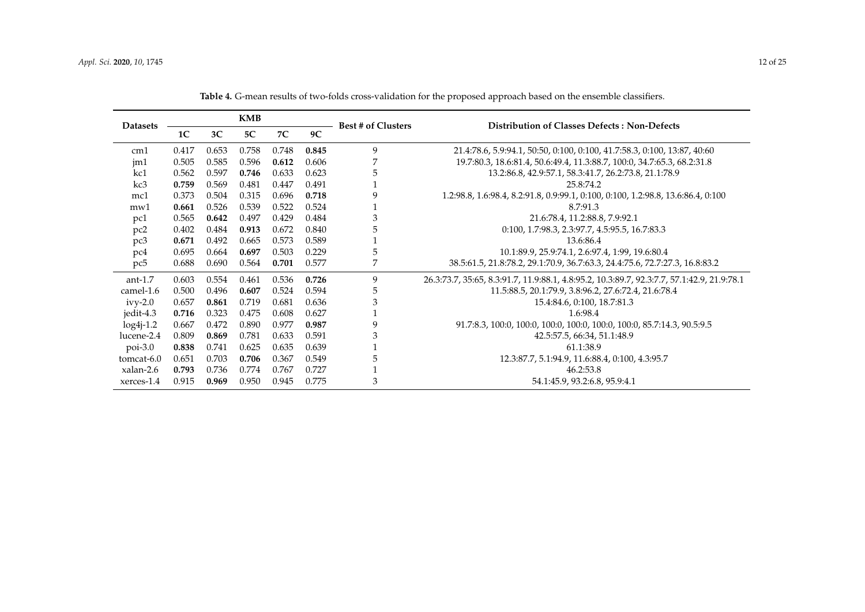| <b>Datasets</b> |       |                | <b>KMB</b> |       |       | <b>Best # of Clusters</b> | Distribution of Classes Defects: Non-Defects                                               |
|-----------------|-------|----------------|------------|-------|-------|---------------------------|--------------------------------------------------------------------------------------------|
|                 | 1C    | 3 <sup>C</sup> | 5C         | 7C    | 9C    |                           |                                                                                            |
| cm <sub>1</sub> | 0.417 | 0.653          | 0.758      | 0.748 | 0.845 | 9                         | 21.4:78.6, 5.9:94.1, 50:50, 0:100, 0:100, 41.7:58.3, 0:100, 13:87, 40:60                   |
| $\text{im}1$    | 0.505 | 0.585          | 0.596      | 0.612 | 0.606 |                           | 19.7:80.3, 18.6:81.4, 50.6:49.4, 11.3:88.7, 100:0, 34.7:65.3, 68.2:31.8                    |
| kc1             | 0.562 | 0.597          | 0.746      | 0.633 | 0.623 | 5                         | 13.2:86.8, 42.9:57.1, 58.3:41.7, 26.2:73.8, 21.1:78.9                                      |
| kc3             | 0.759 | 0.569          | 0.481      | 0.447 | 0.491 |                           | 25.8:74.2                                                                                  |
| mc1             | 0.373 | 0.504          | 0.315      | 0.696 | 0.718 | 9                         | 1.2:98.8, 1.6:98.4, 8.2:91.8, 0.9:99.1, 0:100, 0:100, 1.2:98.8, 13.6:86.4, 0:100           |
| mw1             | 0.661 | 0.526          | 0.539      | 0.522 | 0.524 |                           | 8.7:91.3                                                                                   |
| pc1             | 0.565 | 0.642          | 0.497      | 0.429 | 0.484 | 3                         | 21.6:78.4, 11.2:88.8, 7.9:92.1                                                             |
| pc <sub>2</sub> | 0.402 | 0.484          | 0.913      | 0.672 | 0.840 | 5                         | 0:100, 1.7:98.3, 2.3:97.7, 4.5:95.5, 16.7:83.3                                             |
| pc3             | 0.671 | 0.492          | 0.665      | 0.573 | 0.589 |                           | 13.6:86.4                                                                                  |
| pc4             | 0.695 | 0.664          | 0.697      | 0.503 | 0.229 | 5                         | 10.1:89.9, 25.9:74.1, 2.6:97.4, 1:99, 19.6:80.4                                            |
| pc <sub>5</sub> | 0.688 | 0.690          | 0.564      | 0.701 | 0.577 | 7                         | 38.5:61.5, 21.8:78.2, 29.1:70.9, 36.7:63.3, 24.4:75.6, 72.7:27.3, 16.8:83.2                |
| ant- $1.7$      | 0.603 | 0.554          | 0.461      | 0.536 | 0.726 | 9                         | 26.3:73.7, 35:65, 8.3:91.7, 11.9:88.1, 4.8:95.2, 10.3:89.7, 92.3:7.7, 57.1:42.9, 21.9:78.1 |
| camel-1.6       | 0.500 | 0.496          | 0.607      | 0.524 | 0.594 | 5                         | 11.5:88.5, 20.1:79.9, 3.8:96.2, 27.6:72.4, 21.6:78.4                                       |
| $i$ vy-2.0      | 0.657 | 0.861          | 0.719      | 0.681 | 0.636 | 3                         | 15.4:84.6, 0:100, 18.7:81.3                                                                |
| jedit-4.3       | 0.716 | 0.323          | 0.475      | 0.608 | 0.627 |                           | 1.6:98.4                                                                                   |
| $log4j-1.2$     | 0.667 | 0.472          | 0.890      | 0.977 | 0.987 | 9                         | 91.7:8.3, 100:0, 100:0, 100:0, 100:0, 100:0, 100:0, 85.7:14.3, 90.5:9.5                    |
| lucene-2.4      | 0.809 | 0.869          | 0.781      | 0.633 | 0.591 | 3                         | 42.5:57.5, 66:34, 51.1:48.9                                                                |
| $poi-3.0$       | 0.838 | 0.741          | 0.625      | 0.635 | 0.639 |                           | 61.1:38.9                                                                                  |
| tomcat-6.0      | 0.651 | 0.703          | 0.706      | 0.367 | 0.549 | 5                         | 12.3:87.7, 5.1:94.9, 11.6:88.4, 0:100, 4.3:95.7                                            |
| xalan-2.6       | 0.793 | 0.736          | 0.774      | 0.767 | 0.727 |                           | 46.2:53.8                                                                                  |
| xerces-1.4      | 0.915 | 0.969          | 0.950      | 0.945 | 0.775 | 3                         | 54.1:45.9, 93.2:6.8, 95.9:4.1                                                              |

**Table 4.** G-mean results of two-folds cross-validation for the proposed approach based on the ensemble classifiers.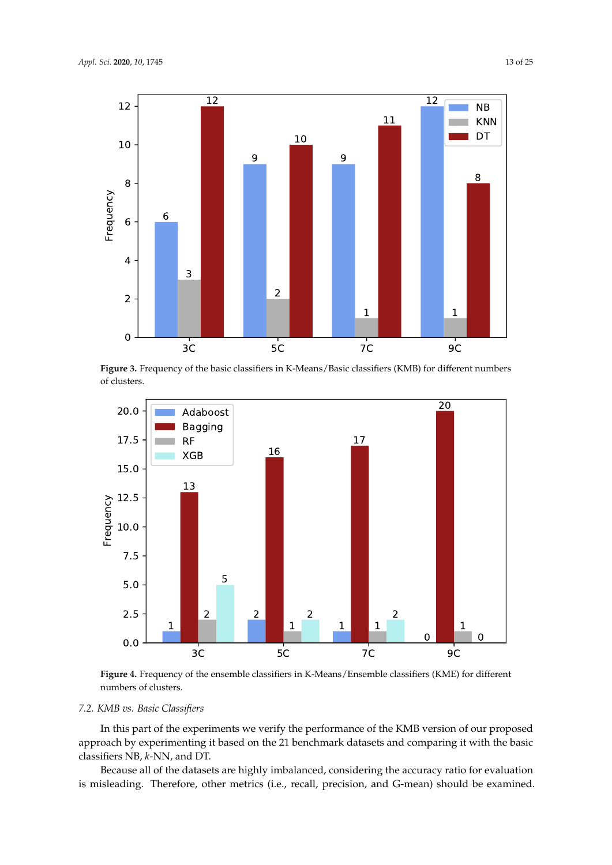

**Figure 3.** Frequency of the basic classifiers in K-Means/Basic classifiers (KMB) for different numbers of clusters.



**Figure 4.** Frequency of the ensemble classifiers in K-Means/Ensemble classifiers (KME) for different numbers of clusters.

# *7.2. KMB vs. Basic Classifiers*

In this part of the experiments we verify the performance of the KMB version of our proposed approach by experimenting it based on the 21 benchmark datasets and comparing it with the basic classifiers NB, *k*-NN, and DT.

Because all of the datasets are highly imbalanced, considering the accuracy ratio for evaluation is misleading. Therefore, other metrics (i.e., recall, precision, and G-mean) should be examined.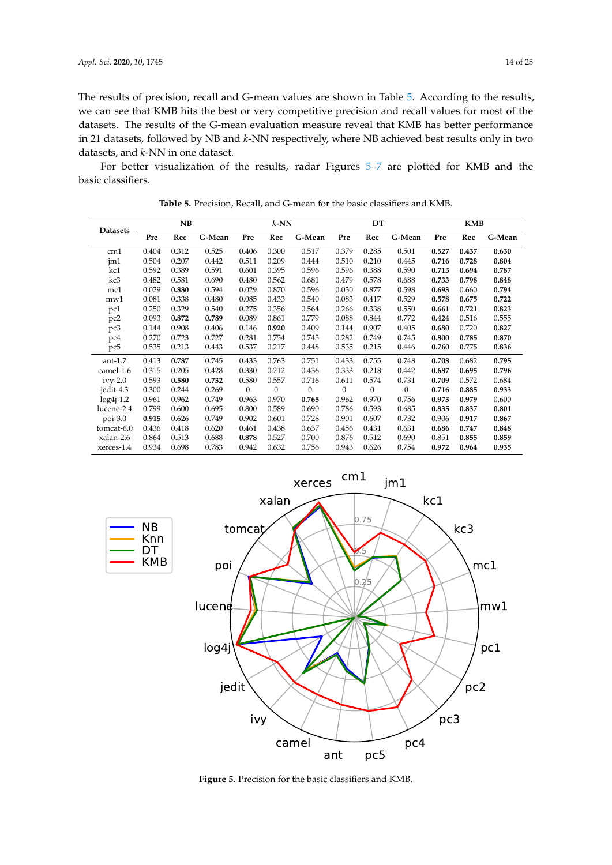NB Knn DT

The results of precision, recall and G-mean values are shown in Table 5. According to the results, we can see that KMB hits the best or very competitive precision and recall values for most of the datasets. The results of the G-mean evaluation measure reveal that KMB has better performance in 21 datasets, followed by NB and *k*-NN respectively, where NB achieved best results only in two datasets, and *k*-NN in one dataset.

For better visualization of the results, radar Figures 5–7 are plotted for KMB and the basic classifiers.

| <b>Datasets</b> | <b>NB</b> |       |        |              | $k$ -NN  |              |              | DT           |                  | <b>KMB</b> |       |        |  |
|-----------------|-----------|-------|--------|--------------|----------|--------------|--------------|--------------|------------------|------------|-------|--------|--|
|                 | Pre       | Rec   | G-Mean | Pre          | Rec      | G-Mean       | Pre          | Rec          | G-Mean           | Pre        | Rec   | G-Mean |  |
| cm1             | 0.404     | 0.312 | 0.525  | 0.406        | 0.300    | 0.517        | 0.379        | 0.285        | 0.501            | 0.527      | 0.437 | 0.630  |  |
| jm1             | 0.504     | 0.207 | 0.442  | 0.511        | 0.209    | 0.444        | 0.510        | 0.210        | 0.445            | 0.716      | 0.728 | 0.804  |  |
| kc1             | 0.592     | 0.389 | 0.591  | 0.601        | 0.395    | 0.596        | 0.596        | 0.388        | 0.590            | 0.713      | 0.694 | 0.787  |  |
| kc3             | 0.482     | 0.581 | 0.690  | 0.480        | 0.562    | 0.681        | 0.479        | 0.578        | 0.688            | 0.733      | 0.798 | 0.848  |  |
| mc1             | 0.029     | 0.880 | 0.594  | 0.029        | 0.870    | 0.596        | 0.030        | 0.877        | 0.598            | 0.693      | 0.660 | 0.794  |  |
| mw1             | 0.081     | 0.338 | 0.480  | 0.085        | 0.433    | 0.540        | 0.083        | 0.417        | 0.529            | 0.578      | 0.675 | 0.722  |  |
| pc1             | 0.250     | 0.329 | 0.540  | 0.275        | 0.356    | 0.564        | 0.266        | 0.338        | 0.550            | 0.661      | 0.721 | 0.823  |  |
| pc <sub>2</sub> | 0.093     | 0.872 | 0.789  | 0.089        | 0.861    | 0.779        | 0.088        | 0.844        | 0.772            | 0.424      | 0.516 | 0.555  |  |
| pc3             | 0.144     | 0.908 | 0.406  | 0.146        | 0.920    | 0.409        | 0.144        | 0.907        | 0.405            | 0.680      | 0.720 | 0.827  |  |
| pc4             | 0.270     | 0.723 | 0.727  | 0.281        | 0.754    | 0.745        | 0.282        | 0.749        | 0.745            | 0.800      | 0.785 | 0.870  |  |
| pc5             | 0.535     | 0.213 | 0.443  | 0.537        | 0.217    | 0.448        | 0.535        | 0.215        | 0.446            | 0.760      | 0.775 | 0.836  |  |
| $ant-1.7$       | 0.413     | 0.787 | 0.745  | 0.433        | 0.763    | 0.751        | 0.433        | 0.755        | 0.748            | 0.708      | 0.682 | 0.795  |  |
| camel-1.6       | 0.315     | 0.205 | 0.428  | 0.330        | 0.212    | 0.436        | 0.333        | 0.218        | 0.442            | 0.687      | 0.695 | 0.796  |  |
| $ivy-2.0$       | 0.593     | 0.580 | 0.732  | 0.580        | 0.557    | 0.716        | 0.611        | 0.574        | 0.731            | 0.709      | 0.572 | 0.684  |  |
| jedit-4.3       | 0.300     | 0.244 | 0.269  | $\mathbf{0}$ | $\theta$ | $\mathbf{0}$ | $\mathbf{0}$ | $\mathbf{0}$ | $\boldsymbol{0}$ | 0.716      | 0.885 | 0.933  |  |
| $log4j-1.2$     | 0.961     | 0.962 | 0.749  | 0.963        | 0.970    | 0.765        | 0.962        | 0.970        | 0.756            | 0.973      | 0.979 | 0.600  |  |
| lucene-2.4      | 0.799     | 0.600 | 0.695  | 0.800        | 0.589    | 0.690        | 0.786        | 0.593        | 0.685            | 0.835      | 0.837 | 0.801  |  |
| $poi-3.0$       | 0.915     | 0.626 | 0.749  | 0.902        | 0.601    | 0.728        | 0.901        | 0.607        | 0.732            | 0.906      | 0.917 | 0.867  |  |
| tomcat-6.0      | 0.436     | 0.418 | 0.620  | 0.461        | 0.438    | 0.637        | 0.456        | 0.431        | 0.631            | 0.686      | 0.747 | 0.848  |  |
| xalan-2.6       | 0.864     | 0.513 | 0.688  | 0.878        | 0.527    | 0.700        | 0.876        | 0.512        | 0.690            | 0.851      | 0.855 | 0.859  |  |
| xerces-1.4      | 0.934     | 0.698 | 0.783  | 0.942        | 0.632    | 0.756        | 0.943        | 0.626        | 0.754            | 0.972      | 0.964 | 0.935  |  |

**Table 5.** Precision, Recall, and G-mean for the basic classifiers and KMB.



**Figure 5.** Precision for the basic classifiers and KMB.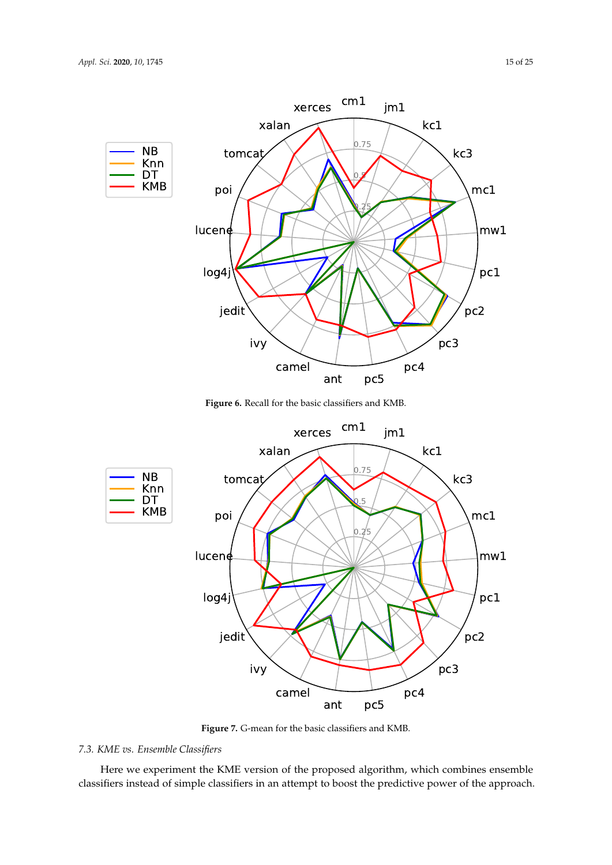

**Figure 6.** Recall for the basic classifiers and KMB.



**Figure 7.** G-mean for the basic classifiers and KMB.

# *7.3. KME vs. Ensemble Classifiers*

Here we experiment the KME version of the proposed algorithm, which combines ensemble classifiers instead of simple classifiers in an attempt to boost the predictive power of the approach.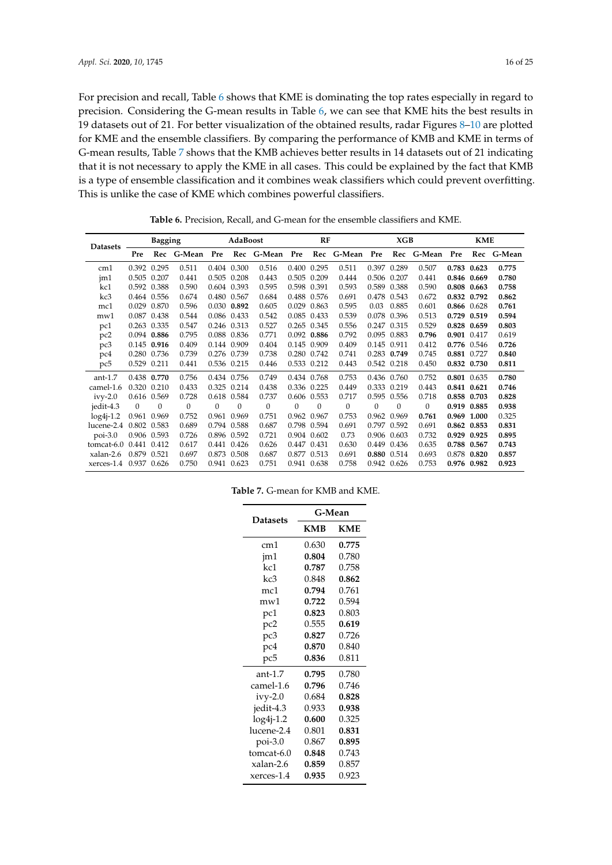For precision and recall, Table 6 shows that KME is dominating the top rates especially in regard to precision. Considering the G-mean results in Table 6, we can see that KME hits the best results in 19 datasets out of 21. For better visualization of the obtained results, radar Figures 8–10 are plotted for KME and the ensemble classifiers. By comparing the performance of KMB and KME in terms of G-mean results, Table 7 shows that the KMB achieves better results in 14 datasets out of 21 indicating that it is not necessary to apply the KME in all cases. This could be explained by the fact that KMB is a type of ensemble classification and it combines weak classifiers which could prevent overfitting. This is unlike the case of KME which combines powerful classifiers.

| <b>Datasets</b>        | <b>Bagging</b> |               |              | AdaBoost     |             |                | RF           |                |              | XGB          |                |                | <b>KME</b> |             |            |
|------------------------|----------------|---------------|--------------|--------------|-------------|----------------|--------------|----------------|--------------|--------------|----------------|----------------|------------|-------------|------------|
|                        | Pre            | Rec           | G-Mean       | Pre          |             | Rec G-Mean Pre |              | Rec            | G-Mean Pre   |              |                | Rec G-Mean Pre |            |             | Rec G-Mean |
| cm1                    |                | 0.392 0.295   | 0.511        |              | 0.404 0.300 | 0.516          |              | 0.400 0.295    | 0.511        |              | 0.397 0.289    | 0.507          |            | 0.783 0.623 | 0.775      |
| $\text{im}1$           | 0.505 0.207    |               | 0.441        |              | 0.505 0.208 | 0.443          | 0.505        | 0.209          | 0.444        | 0.506        | 0.207          | 0.441          |            | 0.846 0.669 | 0.780      |
| kc1                    |                | 0.592 0.388   | 0.590        |              | 0.604 0.393 | 0.595          | 0.598 0.391  |                | 0.593        |              | 0.589 0.388    | 0.590          |            | 0.808 0.663 | 0.758      |
| kc3                    |                | 0.464 0.556   | 0.674        |              | 0.480 0.567 | 0.684          | 0.488        | 0.576          | 0.691        | 0.478        | 0.543          | 0.672          |            | 0.832 0.792 | 0.862      |
| mc1                    |                | 0.029 0.870   | 0.596        |              | 0.030 0.892 | 0.605          | 0.029        | 0.863          | 0.595        | 0.03         | 0.885          | 0.601          |            | 0.866 0.628 | 0.761      |
| mw1                    |                | 0.087 0.438   | 0.544        |              | 0.086 0.433 | 0.542          | 0.085        | 0.433          | 0.539        | 0.078        | 0.396          | 0.513          |            | 0.729 0.519 | 0.594      |
| pc1                    |                | 0.263 0.335   | 0.547        |              | 0.246 0.313 | 0.527          |              | 0.265 0.345    | 0.556        | 0.247 0.315  |                | 0.529          |            | 0.828 0.659 | 0.803      |
| pc <sub>2</sub>        |                | 0.094 0.886   | 0.795        |              | 0.088 0.836 | 0.771          | 0.092        | 0.886          | 0.792        | 0.095 0.883  |                | 0.796          |            | 0.901 0.417 | 0.619      |
| pc3                    |                | $0.145$ 0.916 | 0.409        |              | 0.144 0.909 | 0.404          |              | 0.145 0.909    | 0.409        | 0.145 0.911  |                | 0.412          |            | 0.776 0.546 | 0.726      |
| pc4                    |                | 0.280 0.736   | 0.739        | 0.276 0.739  |             | 0.738          |              | 0.280 0.742    | 0.741        |              | 0.283 0.749    | 0.745          |            | 0.881 0.727 | 0.840      |
| pc5                    | 0.529 0.211    |               | 0.441        |              | 0.536 0.215 | 0.446          |              | 0.533 0.212    | 0.443        | 0.542 0.218  |                | 0.450          |            | 0.832 0.730 | 0.811      |
| ant- $1.7$             |                | 0.438 0.770   | 0.756        |              | 0.434 0.756 | 0.749          |              | 0.434 0.768    | 0.753        |              | 0.436 0.760    | 0.752          |            | 0.801 0.635 | 0.780      |
| camel-1.6              | 0.320 0.210    |               | 0.433        |              | 0.325 0.214 | 0.438          |              | 0.336 0.225    | 0.449        | 0.333 0.219  |                | 0.443          |            | 0.841 0.621 | 0.746      |
| $ivy-2.0$              | 0.616 0.569    |               | 0.728        |              | 0.618 0.584 | 0.737          |              | 0.606 0.553    | 0.717        |              | 0.595 0.556    | 0.718          |            | 0.858 0.703 | 0.828      |
| jedit-4.3              | $\mathbf{0}$   | $\mathbf{0}$  | $\mathbf{0}$ | $\mathbf{0}$ | $\theta$    | $\mathbf{0}$   | $\mathbf{0}$ | $\overline{0}$ | $\mathbf{0}$ | $\mathbf{0}$ | $\overline{0}$ | $\mathbf{0}$   |            | 0.919 0.885 | 0.938      |
| $log4i-1.2$            | 0.961 0.969    |               | 0.752        | 0.961        | 0.969       | 0.751          | 0.962        | 0.967          | 0.753        | 0.962        | 0.969          | 0.761          |            | 0.969 1.000 | 0.325      |
| lucene-2.4             | 0.802 0.583    |               | 0.689        |              | 0.794 0.588 | 0.687          |              | 0.798 0.594    | 0.691        | 0.797 0.592  |                | 0.691          |            | 0.862 0.853 | 0.831      |
| $poi-3.0$              | 0.906 0.593    |               | 0.726        |              | 0.896 0.592 | 0.721          |              | 0.904 0.602    | 0.73         |              | 0.906 0.603    | 0.732          |            | 0.929 0.925 | 0.895      |
| tomcat-6.0             | 0.441 0.412    |               | 0.617        | 0.441        | 0.426       | 0.626          | 0.447        | 0.431          | 0.630        | 0.449        | 0.436          | 0.635          |            | 0.788 0.567 | 0.743      |
| xalan-2.6              | 0.879 0.521    |               | 0.697        | 0.873        | 0.508       | 0.687          |              | 0.877 0.513    | 0.691        |              | 0.880 0.514    | 0.693          |            | 0.878 0.820 | 0.857      |
| xerces-1.4 0.937 0.626 |                |               | 0.750        |              | 0.941 0.623 | 0.751          |              | 0.941 0.638    | 0.758        |              | 0.942 0.626    | 0.753          |            | 0.976 0.982 | 0.923      |

**Table 6.** Precision, Recall, and G-mean for the ensemble classifiers and KME.

**Table 7.** G-mean for KMB and KME.

| <b>Datasets</b> | G-Mean     |            |
|-----------------|------------|------------|
|                 | <b>KMB</b> | <b>KMF</b> |
| cm1             | 0.630      | 0.775      |
| jm1             | 0.804      | 0.780      |
| kcl             | 0.787      | 0.758      |
| kc3             | 0.848      | 0.862      |
| mc1             | 0.794      | 0.761      |
| mw1             | 0.722      | 0.594      |
| pc1             | 0.823      | 0.803      |
| pc2             | 0.555      | 0.619      |
| pc3             | 0.827      | 0.726      |
| pc4             | 0.870      | 0.840      |
| pc5             | 0.836      | 0.811      |
| ant-1.7         | 0.795      | 0.780      |
| camel-1.6       | 0.796      | 0.746      |
| $i$ vy-2.0      | 0.684      | 0.828      |
| jedit-4.3       | 0.933      | 0.938      |
| $log4j-1.2$     | 0.600      | 0.325      |
| lucene-2.4      | 0.801      | 0.831      |
| $poi-3.0$       | 0.867      | 0.895      |
| tomcat-6.0      | 0.848      | 0.743      |
| xalan-2.6       | 0.859      | 0.857      |
| xerces-1.4      | 0.935      | 0.923      |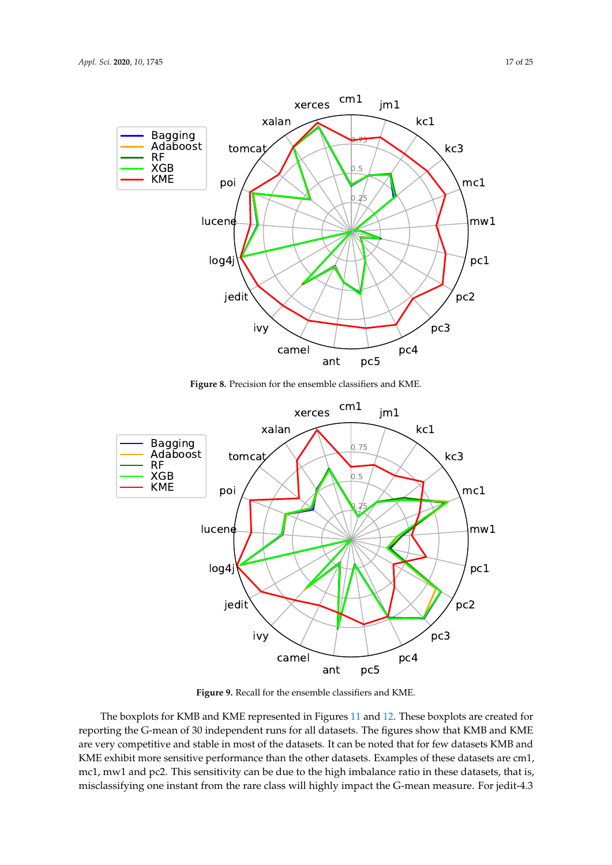

**Figure 8.** Precision for the ensemble classifiers and KME.



**Figure 9.** Recall for the ensemble classifiers and KME.

The boxplots for KMB and KME represented in Figures 11 and 12. These boxplots are created for reporting the G-mean of 30 independent runs for all datasets. The figures show that KMB and KME are very competitive and stable in most of the datasets. It can be noted that for few datasets KMB and KME exhibit more sensitive performance than the other datasets. Examples of these datasets are cm1, mc1, mw1 and pc2. This sensitivity can be due to the high imbalance ratio in these datasets, that is, misclassifying one instant from the rare class will highly impact the G-mean measure. For jedit-4.3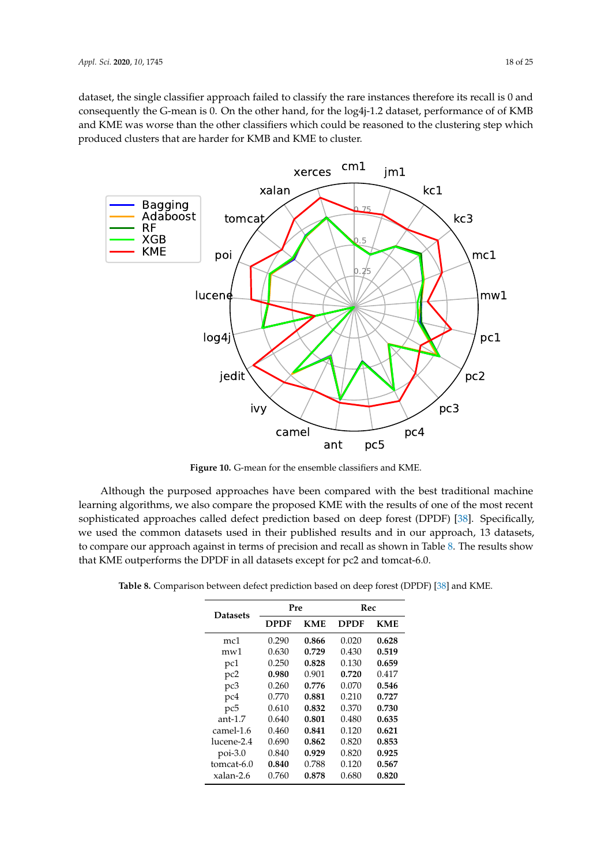dataset, the single classifier approach failed to classify the rare instances therefore its recall is 0 and consequently the G-mean is 0. On the other hand, for the log4j-1.2 dataset, performance of of KMB and KME was worse than the other classifiers which could be reasoned to the clustering step which produced clusters that are harder for KMB and KME to cluster.



**Figure 10.** G-mean for the ensemble classifiers and KME.

Although the purposed approaches have been compared with the best traditional machine learning algorithms, we also compare the proposed KME with the results of one of the most recent sophisticated approaches called defect prediction based on deep forest (DPDF) [38]. Specifically, we used the common datasets used in their published results and in our approach, 13 datasets, to compare our approach against in terms of precision and recall as shown in Table 8. The results show that KME outperforms the DPDF in all datasets except for pc2 and tomcat-6.0.

|             |            | Rec   |       |  |  |  |
|-------------|------------|-------|-------|--|--|--|
| <b>DPDF</b> | <b>KMF</b> | DPDF  | KMF.  |  |  |  |
| 0.290       | 0.866      | 0.020 | 0.628 |  |  |  |
| 0.630       | 0.729      | 0.430 | 0.519 |  |  |  |
| 0.250       | 0.828      | 0.130 | 0.659 |  |  |  |
| 0.980       | 0.901      | 0.720 | 0.417 |  |  |  |
| 0.260       | 0.776      | 0.070 | 0.546 |  |  |  |
| 0.770       | 0.881      | 0.210 | 0.727 |  |  |  |
| 0.610       | 0.832      | 0.370 | 0.730 |  |  |  |
| 0.640       | 0.801      | 0.480 | 0.635 |  |  |  |
| 0.460       | 0.841      | 0.120 | 0.621 |  |  |  |
| 0.690       | 0.862      | 0.820 | 0.853 |  |  |  |
| 0.840       | 0.929      | 0.820 | 0.925 |  |  |  |
| 0.840       | 0.788      | 0.120 | 0.567 |  |  |  |
| 0.760       | 0.878      | 0.680 | 0.820 |  |  |  |
|             |            | Pre   |       |  |  |  |

**Table 8.** Comparison between defect prediction based on deep forest (DPDF) [38] and KME.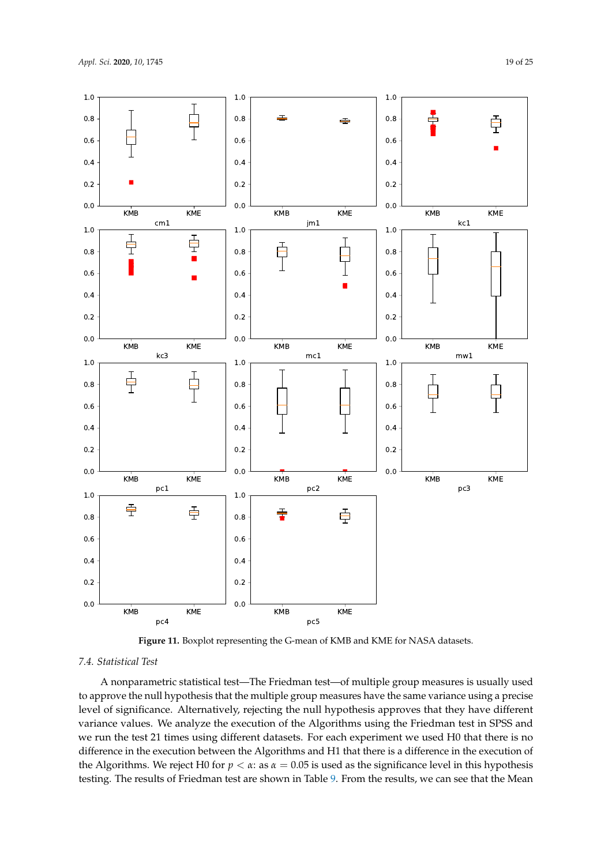

**Figure 11.** Boxplot representing the G-mean of KMB and KME for NASA datasets.

## *7.4. Statistical Test*

A nonparametric statistical test—The Friedman test—of multiple group measures is usually used to approve the null hypothesis that the multiple group measures have the same variance using a precise level of significance. Alternatively, rejecting the null hypothesis approves that they have different variance values. We analyze the execution of the Algorithms using the Friedman test in SPSS and we run the test 21 times using different datasets. For each experiment we used H0 that there is no difference in the execution between the Algorithms and H1 that there is a difference in the execution of the Algorithms. We reject H0 for  $p < \alpha$ : as  $\alpha = 0.05$  is used as the significance level in this hypothesis testing. The results of Friedman test are shown in Table 9. From the results, we can see that the Mean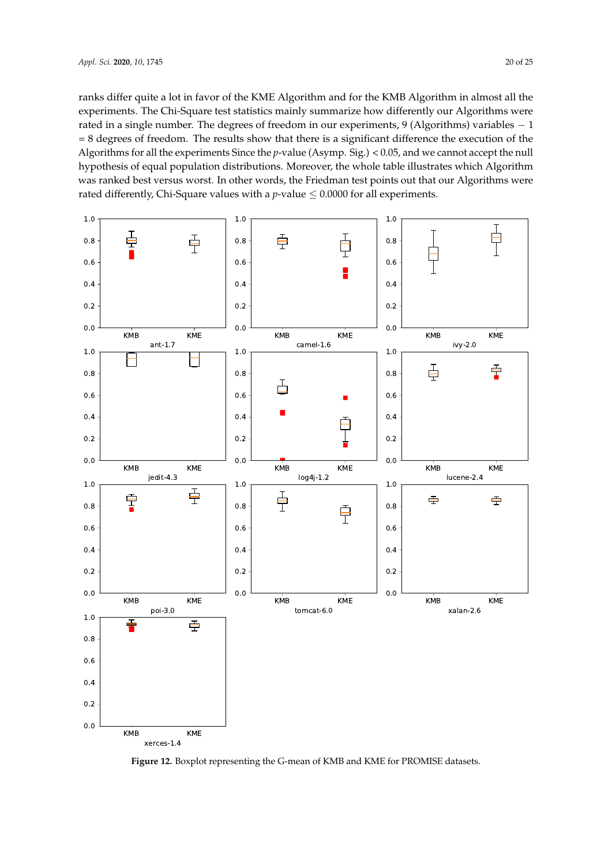ranks differ quite a lot in favor of the KME Algorithm and for the KMB Algorithm in almost all the experiments. The Chi-Square test statistics mainly summarize how differently our Algorithms were rated in a single number. The degrees of freedom in our experiments, 9 (Algorithms) variables − 1 = 8 degrees of freedom. The results show that there is a significant difference the execution of the Algorithms for all the experiments Since the *p*-value (Asymp. Sig.) < 0.05, and we cannot accept the null hypothesis of equal population distributions. Moreover, the whole table illustrates which Algorithm was ranked best versus worst. In other words, the Friedman test points out that our Algorithms were rated differently, Chi-Square values with a  $p$ -value  $\leq 0.0000$  for all experiments.



**Figure 12.** Boxplot representing the G-mean of KMB and KME for PROMISE datasets.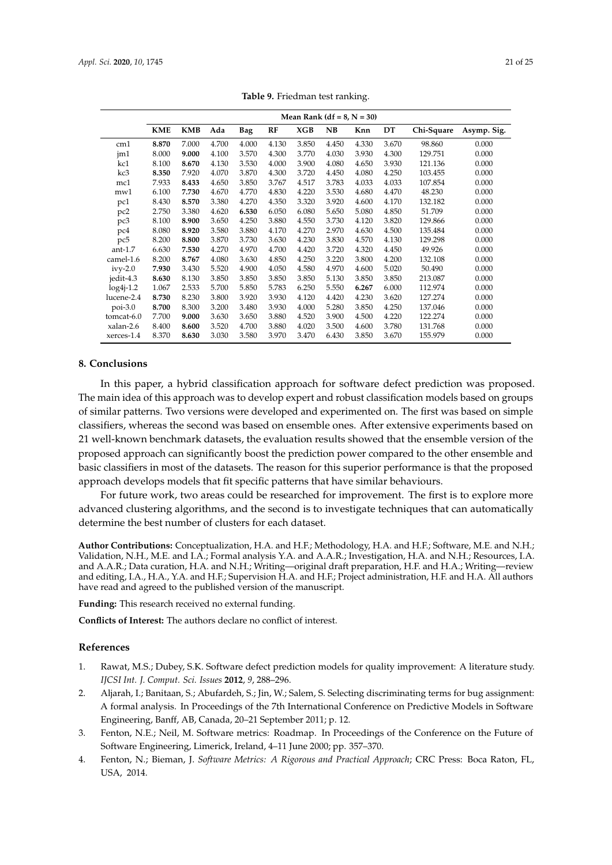|                 |            |            |       |            |       |       |           | Mean Rank (df = $8$ , N = 30) |       |            |             |
|-----------------|------------|------------|-------|------------|-------|-------|-----------|-------------------------------|-------|------------|-------------|
|                 | <b>KME</b> | <b>KMB</b> | Ada   | <b>Bag</b> | RF    | XGB   | <b>NB</b> | Knn                           | DT    | Chi-Square | Asymp. Sig. |
| cm1             | 8.870      | 7.000      | 4.700 | 4.000      | 4.130 | 3.850 | 4.450     | 4.330                         | 3.670 | 98.860     | 0.000       |
| jm1             | 8.000      | 9.000      | 4.100 | 3.570      | 4.300 | 3.770 | 4.030     | 3.930                         | 4.300 | 129.751    | 0.000       |
| kc1             | 8.100      | 8.670      | 4.130 | 3.530      | 4.000 | 3.900 | 4.080     | 4.650                         | 3.930 | 121.136    | 0.000       |
| kc3             | 8.350      | 7.920      | 4.070 | 3.870      | 4.300 | 3.720 | 4.450     | 4.080                         | 4.250 | 103.455    | 0.000       |
| mc1             | 7.933      | 8.433      | 4.650 | 3.850      | 3.767 | 4.517 | 3.783     | 4.033                         | 4.033 | 107.854    | 0.000       |
| mw1             | 6.100      | 7.730      | 4.670 | 4.770      | 4.830 | 4.220 | 3.530     | 4.680                         | 4.470 | 48.230     | 0.000       |
| pc1             | 8.430      | 8.570      | 3.380 | 4.270      | 4.350 | 3.320 | 3.920     | 4.600                         | 4.170 | 132.182    | 0.000       |
| pc <sub>2</sub> | 2.750      | 3.380      | 4.620 | 6.530      | 6.050 | 6.080 | 5.650     | 5.080                         | 4.850 | 51.709     | 0.000       |
| pc3             | 8.100      | 8.900      | 3.650 | 4.250      | 3.880 | 4.550 | 3.730     | 4.120                         | 3.820 | 129.866    | 0.000       |
| pc4             | 8.080      | 8.920      | 3.580 | 3.880      | 4.170 | 4.270 | 2.970     | 4.630                         | 4.500 | 135.484    | 0.000       |
| pc5             | 8.200      | 8.800      | 3.870 | 3.730      | 3.630 | 4.230 | 3.830     | 4.570                         | 4.130 | 129.298    | 0.000       |
| $ant-1.7$       | 6.630      | 7.530      | 4.270 | 4.970      | 4.700 | 4.420 | 3.720     | 4.320                         | 4.450 | 49.926     | 0.000       |
| camel-1.6       | 8.200      | 8.767      | 4.080 | 3.630      | 4.850 | 4.250 | 3.220     | 3.800                         | 4.200 | 132.108    | 0.000       |
| $ivy-2.0$       | 7.930      | 3.430      | 5.520 | 4.900      | 4.050 | 4.580 | 4.970     | 4.600                         | 5.020 | 50.490     | 0.000       |
| jedit-4.3       | 8.630      | 8.130      | 3.850 | 3.850      | 3.850 | 3.850 | 5.130     | 3.850                         | 3.850 | 213.087    | 0.000       |
| $log4j-1.2$     | 1.067      | 2.533      | 5.700 | 5.850      | 5.783 | 6.250 | 5.550     | 6.267                         | 6.000 | 112.974    | 0.000       |
| lucene-2.4      | 8.730      | 8.230      | 3.800 | 3.920      | 3.930 | 4.120 | 4.420     | 4.230                         | 3.620 | 127.274    | 0.000       |
| $poi-3.0$       | 8.700      | 8.300      | 3.200 | 3.480      | 3.930 | 4.000 | 5.280     | 3.850                         | 4.250 | 137.046    | 0.000       |
| tomcat-6.0      | 7.700      | 9.000      | 3.630 | 3.650      | 3.880 | 4.520 | 3.900     | 4.500                         | 4.220 | 122.274    | 0.000       |
| xalan-2.6       | 8.400      | 8.600      | 3.520 | 4.700      | 3.880 | 4.020 | 3.500     | 4.600                         | 3.780 | 131.768    | 0.000       |
| xerces-1.4      | 8.370      | 8.630      | 3.030 | 3.580      | 3.970 | 3.470 | 6.430     | 3.850                         | 3.670 | 155.979    | 0.000       |

**Table 9.** Friedman test ranking.

## **8. Conclusions**

In this paper, a hybrid classification approach for software defect prediction was proposed. The main idea of this approach was to develop expert and robust classification models based on groups of similar patterns. Two versions were developed and experimented on. The first was based on simple classifiers, whereas the second was based on ensemble ones. After extensive experiments based on 21 well-known benchmark datasets, the evaluation results showed that the ensemble version of the proposed approach can significantly boost the prediction power compared to the other ensemble and basic classifiers in most of the datasets. The reason for this superior performance is that the proposed approach develops models that fit specific patterns that have similar behaviours.

For future work, two areas could be researched for improvement. The first is to explore more advanced clustering algorithms, and the second is to investigate techniques that can automatically determine the best number of clusters for each dataset.

**Author Contributions:** Conceptualization, H.A. and H.F.; Methodology, H.A. and H.F.; Software, M.E. and N.H.; Validation, N.H., M.E. and I.A.; Formal analysis Y.A. and A.A.R.; Investigation, H.A. and N.H.; Resources, I.A. and A.A.R.; Data curation, H.A. and N.H.; Writing—original draft preparation, H.F. and H.A.; Writing—review and editing, I.A., H.A., Y.A. and H.F.; Supervision H.A. and H.F.; Project administration, H.F. and H.A. All authors have read and agreed to the published version of the manuscript.

**Funding:** This research received no external funding.

**Conflicts of Interest:** The authors declare no conflict of interest.

## **References**

- 1. Rawat, M.S.; Dubey, S.K. Software defect prediction models for quality improvement: A literature study. *IJCSI Int. J. Comput. Sci. Issues* **2012**, *9*, 288–296.
- 2. Aljarah, I.; Banitaan, S.; Abufardeh, S.; Jin, W.; Salem, S. Selecting discriminating terms for bug assignment: A formal analysis. In Proceedings of the 7th International Conference on Predictive Models in Software Engineering, Banff, AB, Canada, 20–21 September 2011; p. 12.
- 3. Fenton, N.E.; Neil, M. Software metrics: Roadmap. In Proceedings of the Conference on the Future of Software Engineering, Limerick, Ireland, 4–11 June 2000; pp. 357–370.
- 4. Fenton, N.; Bieman, J. *Software Metrics: A Rigorous and Practical Approach*; CRC Press: Boca Raton, FL, USA, 2014.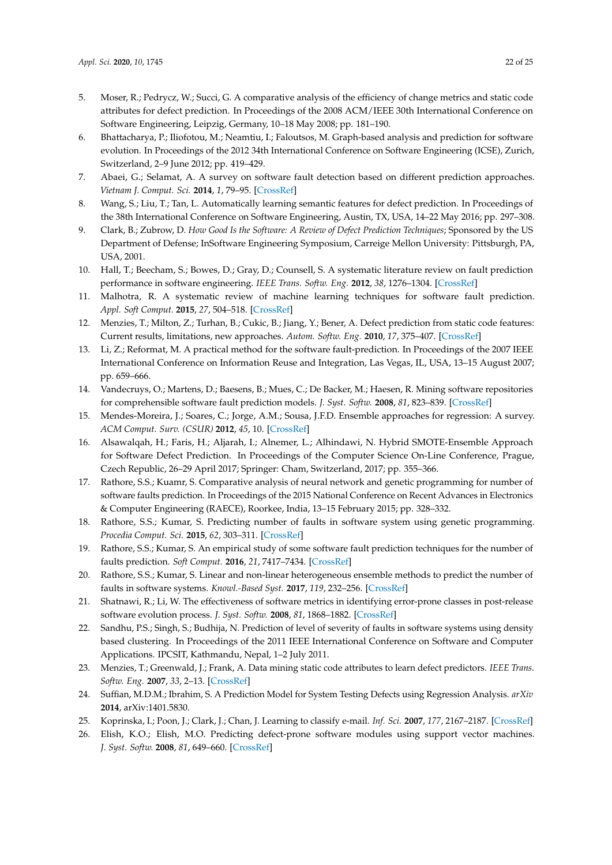- 5. Moser, R.; Pedrycz, W.; Succi, G. A comparative analysis of the efficiency of change metrics and static code attributes for defect prediction. In Proceedings of the 2008 ACM/IEEE 30th International Conference on Software Engineering, Leipzig, Germany, 10–18 May 2008; pp. 181–190.
- 6. Bhattacharya, P.; Iliofotou, M.; Neamtiu, I.; Faloutsos, M. Graph-based analysis and prediction for software evolution. In Proceedings of the 2012 34th International Conference on Software Engineering (ICSE), Zurich, Switzerland, 2–9 June 2012; pp. 419–429.
- 7. Abaei, G.; Selamat, A. A survey on software fault detection based on different prediction approaches. *Vietnam J. Comput. Sci.* **2014**, *1*, 79–95. [CrossRef]
- 8. Wang, S.; Liu, T.; Tan, L. Automatically learning semantic features for defect prediction. In Proceedings of the 38th International Conference on Software Engineering, Austin, TX, USA, 14–22 May 2016; pp. 297–308.
- 9. Clark, B.; Zubrow, D. *How Good Is the Software: A Review of Defect Prediction Techniques*; Sponsored by the US Department of Defense; InSoftware Engineering Symposium, Carreige Mellon University: Pittsburgh, PA, USA, 2001.
- 10. Hall, T.; Beecham, S.; Bowes, D.; Gray, D.; Counsell, S. A systematic literature review on fault prediction performance in software engineering. *IEEE Trans. Softw. Eng.* **2012**, *38*, 1276–1304. [CrossRef]
- 11. Malhotra, R. A systematic review of machine learning techniques for software fault prediction. *Appl. Soft Comput.* **2015**, *27*, 504–518. [CrossRef]
- 12. Menzies, T.; Milton, Z.; Turhan, B.; Cukic, B.; Jiang, Y.; Bener, A. Defect prediction from static code features: Current results, limitations, new approaches. *Autom. Softw. Eng.* **2010**, *17*, 375–407. [CrossRef]
- 13. Li, Z.; Reformat, M. A practical method for the software fault-prediction. In Proceedings of the 2007 IEEE International Conference on Information Reuse and Integration, Las Vegas, IL, USA, 13–15 August 2007; pp. 659–666.
- 14. Vandecruys, O.; Martens, D.; Baesens, B.; Mues, C.; De Backer, M.; Haesen, R. Mining software repositories for comprehensible software fault prediction models. *J. Syst. Softw.* **2008**, *81*, 823–839. [CrossRef]
- 15. Mendes-Moreira, J.; Soares, C.; Jorge, A.M.; Sousa, J.F.D. Ensemble approaches for regression: A survey. *ACM Comput. Surv. (CSUR)* **2012**, *45*, 10. [CrossRef]
- 16. Alsawalqah, H.; Faris, H.; Aljarah, I.; Alnemer, L.; Alhindawi, N. Hybrid SMOTE-Ensemble Approach for Software Defect Prediction. In Proceedings of the Computer Science On-Line Conference, Prague, Czech Republic, 26–29 April 2017; Springer: Cham, Switzerland, 2017; pp. 355–366.
- 17. Rathore, S.S.; Kuamr, S. Comparative analysis of neural network and genetic programming for number of software faults prediction. In Proceedings of the 2015 National Conference on Recent Advances in Electronics & Computer Engineering (RAECE), Roorkee, India, 13–15 February 2015; pp. 328–332.
- 18. Rathore, S.S.; Kumar, S. Predicting number of faults in software system using genetic programming. *Procedia Comput. Sci.* **2015**, *62*, 303–311. [CrossRef]
- 19. Rathore, S.S.; Kumar, S. An empirical study of some software fault prediction techniques for the number of faults prediction. *Soft Comput.* **2016**, *21*, 7417–7434. [CrossRef]
- 20. Rathore, S.S.; Kumar, S. Linear and non-linear heterogeneous ensemble methods to predict the number of faults in software systems. *Knowl.-Based Syst.* **2017**, *119*, 232–256. [CrossRef]
- 21. Shatnawi, R.; Li, W. The effectiveness of software metrics in identifying error-prone classes in post-release software evolution process. *J. Syst. Softw.* **2008**, *81*, 1868–1882. [CrossRef]
- 22. Sandhu, P.S.; Singh, S.; Budhija, N. Prediction of level of severity of faults in software systems using density based clustering. In Proceedings of the 2011 IEEE International Conference on Software and Computer Applications. IPCSIT, Kathmandu, Nepal, 1–2 July 2011.
- 23. Menzies, T.; Greenwald, J.; Frank, A. Data mining static code attributes to learn defect predictors. *IEEE Trans. Softw. Eng.* **2007**, *33*, 2–13. [CrossRef]
- 24. Suffian, M.D.M.; Ibrahim, S. A Prediction Model for System Testing Defects using Regression Analysis. *arXiv* **2014**, arXiv:1401.5830.
- 25. Koprinska, I.; Poon, J.; Clark, J.; Chan, J. Learning to classify e-mail. *Inf. Sci.* **2007**, *177*, 2167–2187. [CrossRef]
- 26. Elish, K.O.; Elish, M.O. Predicting defect-prone software modules using support vector machines. *J. Syst. Softw.* **2008**, *81*, 649–660. [CrossRef]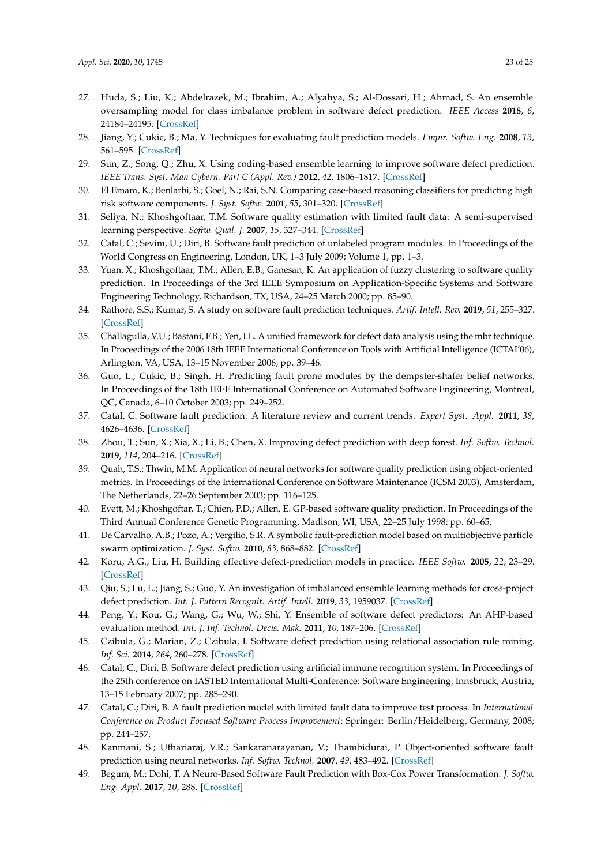- 27. Huda, S.; Liu, K.; Abdelrazek, M.; Ibrahim, A.; Alyahya, S.; Al-Dossari, H.; Ahmad, S. An ensemble oversampling model for class imbalance problem in software defect prediction. *IEEE Access* **2018**, *6*, 24184–24195. [CrossRef]
- 28. Jiang, Y.; Cukic, B.; Ma, Y. Techniques for evaluating fault prediction models. *Empir. Softw. Eng.* **2008**, *13*, 561–595. [CrossRef]
- 29. Sun, Z.; Song, Q.; Zhu, X. Using coding-based ensemble learning to improve software defect prediction. *IEEE Trans. Syst. Man Cybern. Part C (Appl. Rev.)* **2012**, *42*, 1806–1817. [CrossRef]
- 30. El Emam, K.; Benlarbi, S.; Goel, N.; Rai, S.N. Comparing case-based reasoning classifiers for predicting high risk software components. *J. Syst. Softw.* **2001**, *55*, 301–320. [CrossRef]
- 31. Seliya, N.; Khoshgoftaar, T.M. Software quality estimation with limited fault data: A semi-supervised learning perspective. *Softw. Qual. J.* **2007**, *15*, 327–344. [CrossRef]
- 32. Catal, C.; Sevim, U.; Diri, B. Software fault prediction of unlabeled program modules. In Proceedings of the World Congress on Engineering, London, UK, 1–3 July 2009; Volume 1, pp. 1–3.
- 33. Yuan, X.; Khoshgoftaar, T.M.; Allen, E.B.; Ganesan, K. An application of fuzzy clustering to software quality prediction. In Proceedings of the 3rd IEEE Symposium on Application-Specific Systems and Software Engineering Technology, Richardson, TX, USA, 24–25 March 2000; pp. 85–90.
- 34. Rathore, S.S.; Kumar, S. A study on software fault prediction techniques. *Artif. Intell. Rev.* **2019**, *51*, 255–327. [CrossRef]
- 35. Challagulla, V.U.; Bastani, F.B.; Yen, I.L. A unified framework for defect data analysis using the mbr technique. In Proceedings of the 2006 18th IEEE International Conference on Tools with Artificial Intelligence (ICTAI'06), Arlington, VA, USA, 13–15 November 2006; pp. 39–46.
- 36. Guo, L.; Cukic, B.; Singh, H. Predicting fault prone modules by the dempster-shafer belief networks. In Proceedings of the 18th IEEE International Conference on Automated Software Engineering, Montreal, QC, Canada, 6–10 October 2003; pp. 249–252.
- 37. Catal, C. Software fault prediction: A literature review and current trends. *Expert Syst. Appl.* **2011**, *38*, 4626–4636. [CrossRef]
- 38. Zhou, T.; Sun, X.; Xia, X.; Li, B.; Chen, X. Improving defect prediction with deep forest. *Inf. Softw. Technol.* **2019**, *114*, 204–216. [CrossRef]
- 39. Quah, T.S.; Thwin, M.M. Application of neural networks for software quality prediction using object-oriented metrics. In Proceedings of the International Conference on Software Maintenance (ICSM 2003), Amsterdam, The Netherlands, 22–26 September 2003; pp. 116–125.
- 40. Evett, M.; Khoshgoftar, T.; Chien, P.D.; Allen, E. GP-based software quality prediction. In Proceedings of the Third Annual Conference Genetic Programming, Madison, WI, USA, 22–25 July 1998; pp. 60–65.
- 41. De Carvalho, A.B.; Pozo, A.; Vergilio, S.R. A symbolic fault-prediction model based on multiobjective particle swarm optimization. *J. Syst. Softw.* **2010**, *83*, 868–882. [CrossRef]
- 42. Koru, A.G.; Liu, H. Building effective defect-prediction models in practice. *IEEE Softw.* **2005**, *22*, 23–29. [CrossRef]
- 43. Qiu, S.; Lu, L.; Jiang, S.; Guo, Y. An investigation of imbalanced ensemble learning methods for cross-project defect prediction. *Int. J. Pattern Recognit. Artif. Intell.* **2019**, *33*, 1959037. [CrossRef]
- 44. Peng, Y.; Kou, G.; Wang, G.; Wu, W.; Shi, Y. Ensemble of software defect predictors: An AHP-based evaluation method. *Int. J. Inf. Technol. Decis. Mak.* **2011**, *10*, 187–206. [CrossRef]
- 45. Czibula, G.; Marian, Z.; Czibula, I. Software defect prediction using relational association rule mining. *Inf. Sci.* **2014**, *264*, 260–278. [CrossRef]
- 46. Catal, C.; Diri, B. Software defect prediction using artificial immune recognition system. In Proceedings of the 25th conference on IASTED International Multi-Conference: Software Engineering, Innsbruck, Austria, 13–15 February 2007; pp. 285–290.
- 47. Catal, C.; Diri, B. A fault prediction model with limited fault data to improve test process. In *International Conference on Product Focused Software Process Improvement*; Springer: Berlin/Heidelberg, Germany, 2008; pp. 244–257.
- 48. Kanmani, S.; Uthariaraj, V.R.; Sankaranarayanan, V.; Thambidurai, P. Object-oriented software fault prediction using neural networks. *Inf. Softw. Technol.* **2007**, *49*, 483–492. [CrossRef]
- 49. Begum, M.; Dohi, T. A Neuro-Based Software Fault Prediction with Box-Cox Power Transformation. *J. Softw. Eng. Appl.* **2017**, *10*, 288. [CrossRef]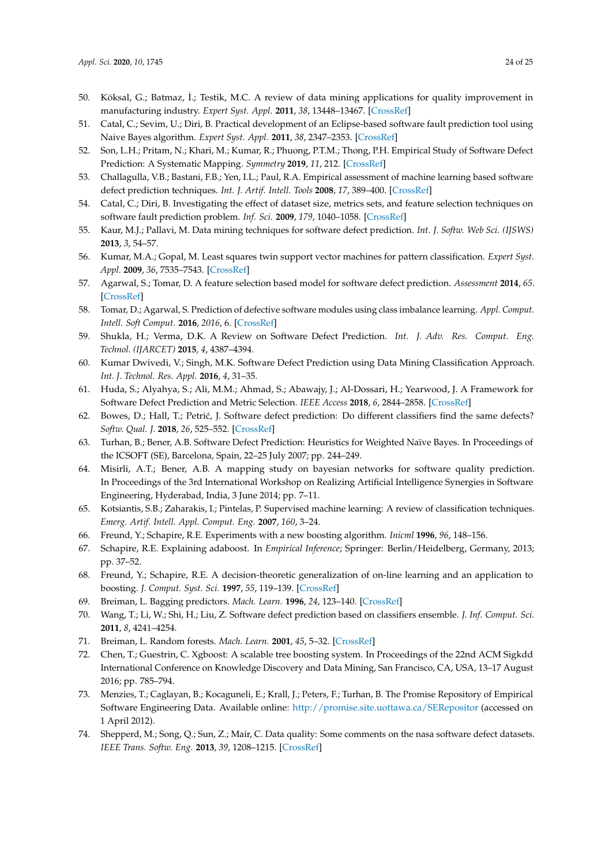- 50. Köksal, G.; Batmaz, İ.; Testik, M.C. A review of data mining applications for quality improvement in manufacturing industry. *Expert Syst. Appl.* **2011**, *38*, 13448–13467. [CrossRef]
- 51. Catal, C.; Sevim, U.; Diri, B. Practical development of an Eclipse-based software fault prediction tool using Naive Bayes algorithm. *Expert Syst. Appl.* **2011**, *38*, 2347–2353. [CrossRef]
- 52. Son, L.H.; Pritam, N.; Khari, M.; Kumar, R.; Phuong, P.T.M.; Thong, P.H. Empirical Study of Software Defect Prediction: A Systematic Mapping. *Symmetry* **2019**, *11*, 212. [CrossRef]
- 53. Challagulla, V.B.; Bastani, F.B.; Yen, I.L.; Paul, R.A. Empirical assessment of machine learning based software defect prediction techniques. *Int. J. Artif. Intell. Tools* **2008**, *17*, 389–400. [CrossRef]
- 54. Catal, C.; Diri, B. Investigating the effect of dataset size, metrics sets, and feature selection techniques on software fault prediction problem. *Inf. Sci.* **2009**, *179*, 1040–1058. [CrossRef]
- 55. Kaur, M.J.; Pallavi, M. Data mining techniques for software defect prediction. *Int. J. Softw. Web Sci. (IJSWS)* **2013**, *3*, 54–57.
- 56. Kumar, M.A.; Gopal, M. Least squares twin support vector machines for pattern classification. *Expert Syst. Appl.* **2009**, *36*, 7535–7543. [CrossRef]
- 57. Agarwal, S.; Tomar, D. A feature selection based model for software defect prediction. *Assessment* **2014**, *65*. [CrossRef]
- 58. Tomar, D.; Agarwal, S. Prediction of defective software modules using class imbalance learning. *Appl. Comput. Intell. Soft Comput.* **2016**, *2016*, 6. [CrossRef]
- 59. Shukla, H.; Verma, D.K. A Review on Software Defect Prediction. *Int. J. Adv. Res. Comput. Eng. Technol. (IJARCET)* **2015**, *4*, 4387–4394.
- 60. Kumar Dwivedi, V.; Singh, M.K. Software Defect Prediction using Data Mining Classification Approach. *Int. J. Technol. Res. Appl.* **2016**, *4*, 31–35.
- 61. Huda, S.; Alyahya, S.; Ali, M.M.; Ahmad, S.; Abawajy, J.; Al-Dossari, H.; Yearwood, J. A Framework for Software Defect Prediction and Metric Selection. *IEEE Access* **2018**, *6*, 2844–2858. [CrossRef]
- 62. Bowes, D.; Hall, T.; Petrić, J. Software defect prediction: Do different classifiers find the same defects? *Softw. Qual. J.* **2018**, *26*, 525–552. [CrossRef]
- 63. Turhan, B.; Bener, A.B. Software Defect Prediction: Heuristics for Weighted Naïve Bayes. In Proceedings of the ICSOFT (SE), Barcelona, Spain, 22–25 July 2007; pp. 244–249.
- 64. Misirli, A.T.; Bener, A.B. A mapping study on bayesian networks for software quality prediction. In Proceedings of the 3rd International Workshop on Realizing Artificial Intelligence Synergies in Software Engineering, Hyderabad, India, 3 June 2014; pp. 7–11.
- 65. Kotsiantis, S.B.; Zaharakis, I.; Pintelas, P. Supervised machine learning: A review of classification techniques. *Emerg. Artif. Intell. Appl. Comput. Eng.* **2007**, *160*, 3–24.
- 66. Freund, Y.; Schapire, R.E. Experiments with a new boosting algorithm. *Inicml* **1996**, *96*, 148–156.
- 67. Schapire, R.E. Explaining adaboost. In *Empirical Inference*; Springer: Berlin/Heidelberg, Germany, 2013; pp. 37–52.
- 68. Freund, Y.; Schapire, R.E. A decision-theoretic generalization of on-line learning and an application to boosting. *J. Comput. Syst. Sci.* **1997**, *55*, 119–139. [CrossRef]
- 69. Breiman, L. Bagging predictors. *Mach. Learn.* **1996**, *24*, 123–140. [CrossRef]
- 70. Wang, T.; Li, W.; Shi, H.; Liu, Z. Software defect prediction based on classifiers ensemble. *J. Inf. Comput. Sci.* **2011**, *8*, 4241–4254.
- 71. Breiman, L. Random forests. *Mach. Learn.* **2001**, *45*, 5–32. [CrossRef]
- 72. Chen, T.; Guestrin, C. Xgboost: A scalable tree boosting system. In Proceedings of the 22nd ACM Sigkdd International Conference on Knowledge Discovery and Data Mining, San Francisco, CA, USA, 13–17 August 2016; pp. 785–794.
- 73. Menzies, T.; Caglayan, B.; Kocaguneli, E.; Krall, J.; Peters, F.; Turhan, B. The Promise Repository of Empirical Software Engineering Data. Available online: http://promise.site.uottawa.ca/SERepositor (accessed on 1 April 2012).
- 74. Shepperd, M.; Song, Q.; Sun, Z.; Mair, C. Data quality: Some comments on the nasa software defect datasets. *IEEE Trans. Softw. Eng.* **2013**, *39*, 1208–1215. [CrossRef]